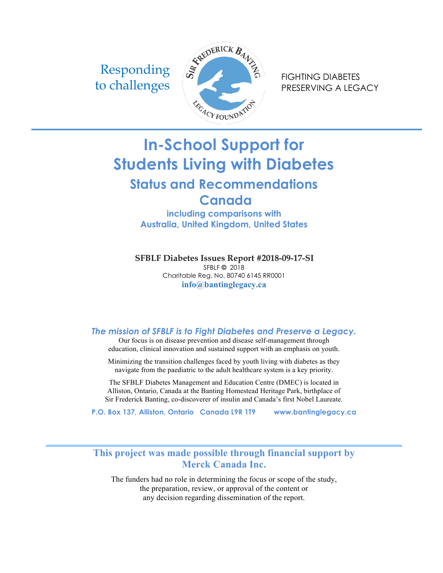Responding



PRESERVING A LEGACY

# **In-School Support for Students Living with Diabetes Status and Recommendations**

**Canada including comparisons with** 

**Australia, United Kingdom, United States** 

**SFBLF Diabetes Issues Report #2018-09-17-SI**

SFBLF **©** 2018 Charitable Reg. No. 80740 6145 RR0001 **info@bantinglegacy.ca**

### *The mission of SFBLF is to Fight Diabetes and Preserve a Legacy.*

Our focus is on disease prevention and disease self-management through education, clinical innovation and sustained support with an emphasis on youth.

Minimizing the transition challenges faced by youth living with diabetes as they navigate from the paediatric to the adult healthcare system is a key priority.

The SFBLF Diabetes Management and Education Centre (DMEC) is located in Alliston, Ontario, Canada at the Banting Homestead Heritage Park, birthplace of Sir Frederick Banting, co-discoverer of insulin and Canada's first Nobel Laureate.

**P.O. Box 137, Alliston, Ontario Canada L9R 1T9 www.bantinglegacy.ca**

**This project was made possible through financial support by Merck Canada Inc.**

The funders had no role in determining the focus or scope of the study, the preparation, review, or approval of the content or any decision regarding dissemination of the report.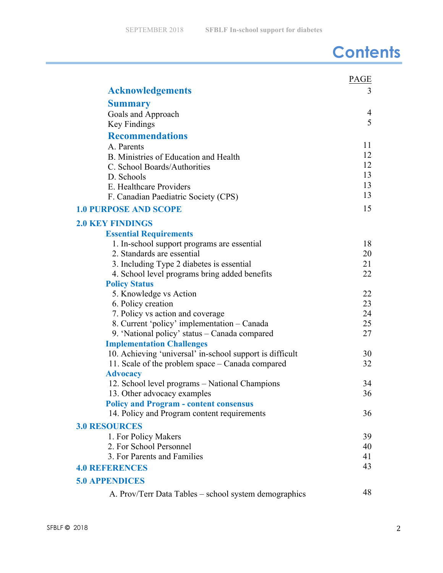# **Contents**

|                                                                                   | PAGE     |
|-----------------------------------------------------------------------------------|----------|
| <b>Acknowledgements</b>                                                           | 3        |
| <b>Summary</b>                                                                    |          |
| Goals and Approach                                                                | 4        |
| Key Findings                                                                      | 5        |
| <b>Recommendations</b>                                                            |          |
| A. Parents                                                                        | 11       |
| B. Ministries of Education and Health                                             | 12       |
| C. School Boards/Authorities                                                      | 12       |
| D. Schools                                                                        | 13       |
| E. Healthcare Providers                                                           | 13       |
| F. Canadian Paediatric Society (CPS)                                              | 13       |
| <b>1.0 PURPOSE AND SCOPE</b>                                                      | 15       |
| <b>2.0 KEY FINDINGS</b>                                                           |          |
| <b>Essential Requirements</b>                                                     |          |
| 1. In-school support programs are essential                                       | 18       |
| 2. Standards are essential                                                        | 20       |
| 3. Including Type 2 diabetes is essential                                         | 21       |
| 4. School level programs bring added benefits                                     | 22       |
| <b>Policy Status</b>                                                              |          |
| 5. Knowledge vs Action                                                            | 22       |
| 6. Policy creation                                                                | 23       |
| 7. Policy vs action and coverage                                                  | 24       |
| 8. Current 'policy' implementation – Canada                                       | 25<br>27 |
| 9. 'National policy' status – Canada compared<br><b>Implementation Challenges</b> |          |
| 10. Achieving 'universal' in-school support is difficult                          | 30       |
| 11. Scale of the problem space – Canada compared                                  | 32       |
| <b>Advocacy</b>                                                                   |          |
| 12. School level programs – National Champions                                    | 34       |
| 13. Other advocacy examples                                                       | 36       |
| <b>Policy and Program - content consensus</b>                                     |          |
| 14. Policy and Program content requirements                                       | 36       |
| <b>3.0 RESOURCES</b>                                                              |          |
| 1. For Policy Makers                                                              | 39       |
| 2. For School Personnel                                                           | 40       |
| 3. For Parents and Families                                                       | 41       |
| <b>4.0 REFERENCES</b>                                                             | 43       |
| <b>5.0 APPENDICES</b>                                                             |          |
| A. Prov/Terr Data Tables – school system demographics                             | 48       |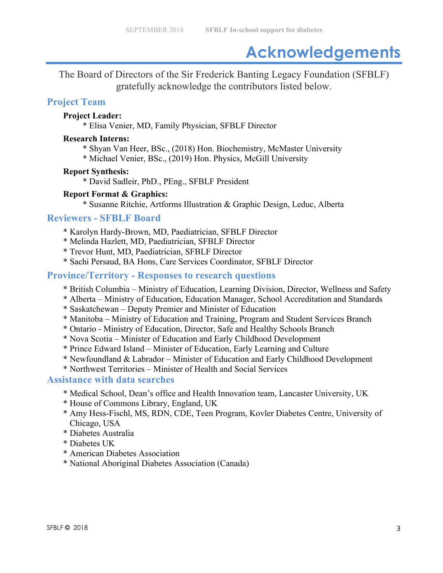# **Acknowledgements**

The Board of Directors of the Sir Frederick Banting Legacy Foundation (SFBLF) gratefully acknowledge the contributors listed below.

## **Project Team**

### **Project Leader:**

\* Elisa Venier, MD, Family Physician, SFBLF Director

#### **Research Interns:**

- \* Shyan Van Heer, BSc., (2018) Hon. Biochemistry, McMaster University
- \* Michael Venier, BSc., (2019) Hon. Physics, McGill University

### **Report Synthesis:**

\* David Sadleir, PhD., PEng., SFBLF President

### **Report Format & Graphics:**

\* Susanne Ritchie, Artforms Illustration & Graphic Design, Leduc, Alberta

### **Reviewers - SFBLF Board**

- \* Karolyn Hardy-Brown, MD, Paediatrician, SFBLF Director
- \* Melinda Hazlett, MD, Paediatrician, SFBLF Director
- \* Trevor Hunt, MD, Paediatrician, SFBLF Director
- \* Sachi Persaud, BA Hons, Care Services Coordinator, SFBLF Director

### **Province/Territory - Responses to research questions**

- \* British Columbia Ministry of Education, Learning Division, Director, Wellness and Safety
- \* Alberta Ministry of Education, Education Manager, School Accreditation and Standards
- \* Saskatchewan Deputy Premier and Minister of Education
- \* Manitoba Ministry of Education and Training, Program and Student Services Branch
- \* Ontario Ministry of Education, Director, Safe and Healthy Schools Branch
- \* Nova Scotia Minister of Education and Early Childhood Development
- \* Prince Edward Island Minister of Education, Early Learning and Culture
- \* Newfoundland & Labrador Minister of Education and Early Childhood Development
- \* Northwest Territories Minister of Health and Social Services

### **Assistance with data searches**

- \* Medical School, Dean's office and Health Innovation team, Lancaster University, UK
- \* House of Commons Library, England, UK
- \* Amy Hess-Fischl, MS, RDN, CDE, Teen Program, Kovler Diabetes Centre, University of Chicago, USA
- \* Diabetes Australia
- \* Diabetes UK
- \* American Diabetes Association
- \* National Aboriginal Diabetes Association (Canada)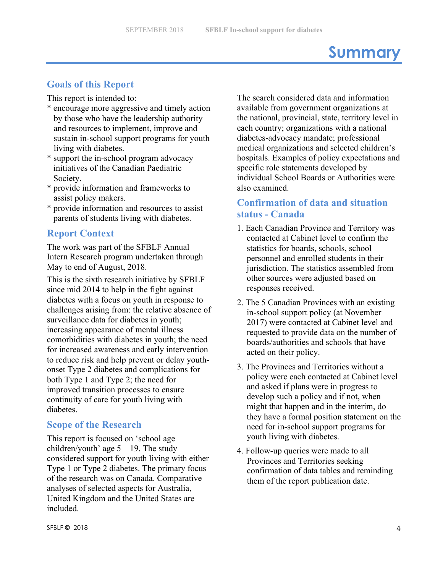# **Summary**

# **Goals of this Report**

This report is intended to:

- \* encourage more aggressive and timely action by those who have the leadership authority and resources to implement, improve and sustain in-school support programs for youth living with diabetes.
- \* support the in-school program advocacy initiatives of the Canadian Paediatric Society.
- \* provide information and frameworks to assist policy makers.
- \* provide information and resources to assist parents of students living with diabetes.

### **Report Context**

The work was part of the SFBLF Annual Intern Research program undertaken through May to end of August, 2018.

This is the sixth research initiative by SFBLF since mid 2014 to help in the fight against diabetes with a focus on youth in response to challenges arising from: the relative absence of surveillance data for diabetes in youth; increasing appearance of mental illness comorbidities with diabetes in youth; the need for increased awareness and early intervention to reduce risk and help prevent or delay youthonset Type 2 diabetes and complications for both Type 1 and Type 2; the need for improved transition processes to ensure continuity of care for youth living with diabetes.

### **Scope of the Research**

This report is focused on 'school age children/youth' age  $5 - 19$ . The study considered support for youth living with either Type 1 or Type 2 diabetes. The primary focus of the research was on Canada. Comparative analyses of selected aspects for Australia, United Kingdom and the United States are included.

The search considered data and information available from government organizations at the national, provincial, state, territory level in each country; organizations with a national diabetes-advocacy mandate; professional medical organizations and selected children's hospitals. Examples of policy expectations and specific role statements developed by individual School Boards or Authorities were also examined.

# **Confirmation of data and situation status - Canada**

- 1. Each Canadian Province and Territory was contacted at Cabinet level to confirm the statistics for boards, schools, school personnel and enrolled students in their jurisdiction. The statistics assembled from other sources were adjusted based on responses received.
- 2. The 5 Canadian Provinces with an existing in-school support policy (at November 2017) were contacted at Cabinet level and requested to provide data on the number of boards/authorities and schools that have acted on their policy.
- 3. The Provinces and Territories without a policy were each contacted at Cabinet level and asked if plans were in progress to develop such a policy and if not, when might that happen and in the interim, do they have a formal position statement on the need for in-school support programs for youth living with diabetes.
- 4. Follow-up queries were made to all Provinces and Territories seeking confirmation of data tables and reminding them of the report publication date.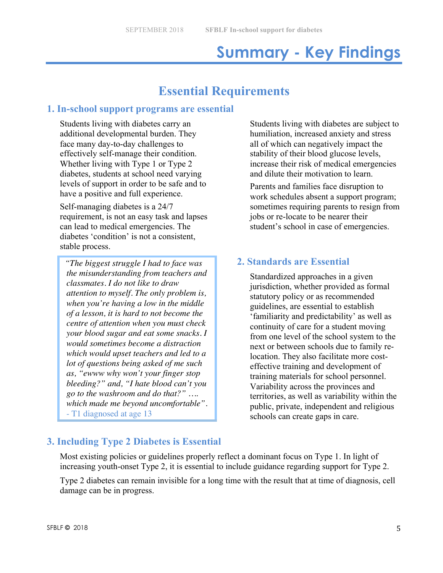# **Summary - Key Findings**

# **Essential Requirements**

## **1. In-school support programs are essential**

Students living with diabetes carry an additional developmental burden. They face many day-to-day challenges to effectively self-manage their condition. Whether living with Type 1 or Type 2 diabetes, students at school need varying levels of support in order to be safe and to have a positive and full experience.

Self-managing diabetes is a 24/7 requirement, is not an easy task and lapses can lead to medical emergencies. The diabetes 'condition' is not a consistent, stable process.

*"The biggest struggle I had to face was the misunderstanding from teachers and classmates. I do not like to draw attention to myself. The only problem is, when you're having a low in the middle of a lesson, it is hard to not become the centre of attention when you must check your blood sugar and eat some snacks. I would sometimes become a distraction which would upset teachers and led to a lot of questions being asked of me such as, "ewww why won't your finger stop bleeding?" and, "I hate blood can't you go to the washroom and do that?" …. which made me beyond uncomfortable".*  - T1 diagnosed at age 13

Students living with diabetes are subject to humiliation, increased anxiety and stress all of which can negatively impact the stability of their blood glucose levels, increase their risk of medical emergencies and dilute their motivation to learn.

Parents and families face disruption to work schedules absent a support program; sometimes requiring parents to resign from jobs or re-locate to be nearer their student's school in case of emergencies.

## **2. Standards are Essential**

Standardized approaches in a given jurisdiction, whether provided as formal statutory policy or as recommended guidelines, are essential to establish 'familiarity and predictability' as well as continuity of care for a student moving from one level of the school system to the next or between schools due to family relocation. They also facilitate more costeffective training and development of training materials for school personnel. Variability across the provinces and territories, as well as variability within the public, private, independent and religious schools can create gaps in care.

# **3. Including Type 2 Diabetes is Essential**

Most existing policies or guidelines properly reflect a dominant focus on Type 1. In light of increasing youth-onset Type 2, it is essential to include guidance regarding support for Type 2.

Type 2 diabetes can remain invisible for a long time with the result that at time of diagnosis, cell damage can be in progress.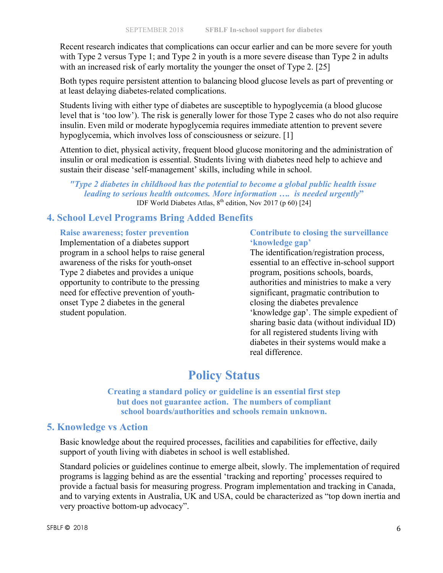Recent research indicates that complications can occur earlier and can be more severe for youth with Type 2 versus Type 1; and Type 2 in youth is a more severe disease than Type 2 in adults with an increased risk of early mortality the younger the onset of Type 2. [25]

Both types require persistent attention to balancing blood glucose levels as part of preventing or at least delaying diabetes-related complications.

Students living with either type of diabetes are susceptible to hypoglycemia (a blood glucose level that is 'too low'). The risk is generally lower for those Type 2 cases who do not also require insulin. Even mild or moderate hypoglycemia requires immediate attention to prevent severe hypoglycemia, which involves loss of consciousness or seizure. [1]

Attention to diet, physical activity, frequent blood glucose monitoring and the administration of insulin or oral medication is essential. Students living with diabetes need help to achieve and sustain their disease 'self-management' skills, including while in school.

*"Type 2 diabetes in childhood has the potential to become a global public health issue leading to serious health outcomes. More information …. is needed urgently***"** IDF World Diabetes Atlas,  $8<sup>th</sup>$  edition, Nov 2017 (p 60) [24]

## **4. School Level Programs Bring Added Benefits**

**Raise awareness; foster prevention** Implementation of a diabetes support program in a school helps to raise general awareness of the risks for youth-onset Type 2 diabetes and provides a unique opportunity to contribute to the pressing need for effective prevention of youthonset Type 2 diabetes in the general student population.

### **Contribute to closing the surveillance 'knowledge gap'**

The identification/registration process, essential to an effective in-school support program, positions schools, boards, authorities and ministries to make a very significant, pragmatic contribution to closing the diabetes prevalence 'knowledge gap'. The simple expedient of sharing basic data (without individual ID) for all registered students living with diabetes in their systems would make a real difference.

# **Policy Status**

**Creating a standard policy or guideline is an essential first step but does not guarantee action. The numbers of compliant school boards/authorities and schools remain unknown.**

## **5. Knowledge vs Action**

Basic knowledge about the required processes, facilities and capabilities for effective, daily support of youth living with diabetes in school is well established.

Standard policies or guidelines continue to emerge albeit, slowly. The implementation of required programs is lagging behind as are the essential 'tracking and reporting' processes required to provide a factual basis for measuring progress. Program implementation and tracking in Canada, and to varying extents in Australia, UK and USA, could be characterized as "top down inertia and very proactive bottom-up advocacy".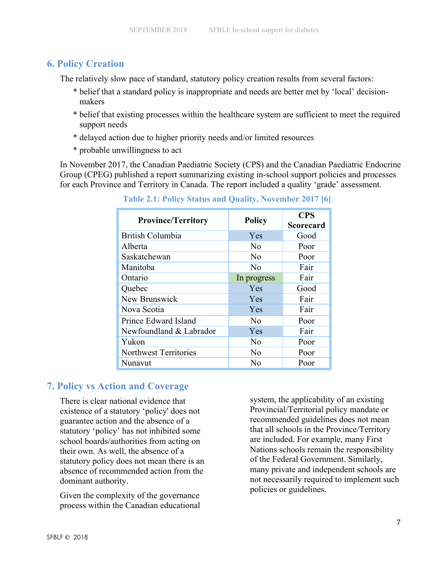### **6. Policy Creation**

The relatively slow pace of standard, statutory policy creation results from several factors:

- \* belief that a standard policy is inappropriate and needs are better met by 'local' decisionmakers
- \* belief that existing processes within the healthcare system are sufficient to meet the required support needs
- \* delayed action due to higher priority needs and/or limited resources
- \* probable unwillingness to act

In November 2017, the Canadian Paediatric Society (CPS) and the Canadian Paediatric Endocrine Group (CPEG) published a report summarizing existing in-school support policies and processes for each Province and Territory in Canada. The report included a quality 'grade' assessment.

| <b>Province/Territory</b> | <b>Policy</b>  | <b>CPS</b><br><b>Scorecard</b> |
|---------------------------|----------------|--------------------------------|
| <b>British Columbia</b>   | Yes            | Good                           |
| Alberta                   | N <sub>0</sub> | Poor                           |
| Saskatchewan              | No             | Poor                           |
| Manitoba                  | No             | Fair                           |
| Ontario                   | In progress    | Fair                           |
| Quebec                    | Yes            | Good                           |
| New Brunswick             | Yes            | Fair                           |
| Nova Scotia               | Yes            | Fair                           |
| Prince Edward Island      | $\rm No$       | Poor                           |
| Newfoundland & Labrador   | Yes            | Fair                           |
| Yukon                     | No             | Poor                           |
| Northwest Territories     | No             | Poor                           |
| Nunavut                   | No             | Poor                           |

 **Table 2.1: Policy Status and Quality, November 2017 [6]**

## **7. Policy vs Action and Coverage**

There is clear national evidence that existence of a statutory 'policy' does not guarantee action and the absence of a statutory 'policy' has not inhibited some school boards/authorities from acting on their own. As well, the absence of a statutory policy does not mean there is an absence of recommended action from the dominant authority.

Given the complexity of the governance process within the Canadian educational system, the applicability of an existing Provincial/Territorial policy mandate or recommended guidelines does not mean that all schools in the Province/Territory are included. For example, many First Nations schools remain the responsibility of the Federal Government. Similarly, many private and independent schools are not necessarily required to implement such policies or guidelines.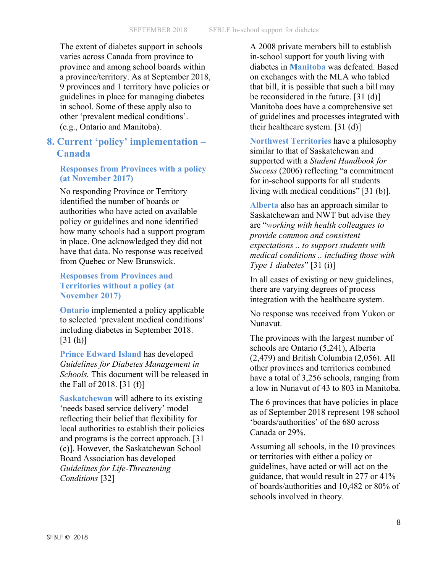The extent of diabetes support in schools varies across Canada from province to province and among school boards within a province/territory. As at September 2018, 9 provinces and 1 territory have policies or guidelines in place for managing diabetes in school. Some of these apply also to other 'prevalent medical conditions'. (e.g., Ontario and Manitoba).

## **8. Current 'policy' implementation – Canada**

#### **Responses from Provinces with a policy (at November 2017)**

No responding Province or Territory identified the number of boards or authorities who have acted on available policy or guidelines and none identified how many schools had a support program in place. One acknowledged they did not have that data. No response was received from Quebec or New Brunswick.

#### **Responses from Provinces and Territories without a policy (at November 2017)**

**Ontario** implemented a policy applicable to selected 'prevalent medical conditions' including diabetes in September 2018. [31 (h)]

**Prince Edward Island** has developed *Guidelines for Diabetes Management in Schools.* This document will be released in the Fall of 2018. [31 (f)]

**Saskatchewan** will adhere to its existing 'needs based service delivery' model reflecting their belief that flexibility for local authorities to establish their policies and programs is the correct approach. [31 (c)]. However, the Saskatchewan School Board Association has developed *Guidelines for Life-Threatening Conditions* [32]

A 2008 private members bill to establish in-school support for youth living with diabetes in **Manitoba** was defeated. Based on exchanges with the MLA who tabled that bill, it is possible that such a bill may be reconsidered in the future. [31 (d)] Manitoba does have a comprehensive set of guidelines and processes integrated with their healthcare system. [31 (d)]

**Northwest Territories** have a philosophy similar to that of Saskatchewan and supported with a *Student Handbook for Success* (2006) reflecting "a commitment for in-school supports for all students living with medical conditions" [31 (b)].

**Alberta** also has an approach similar to Saskatchewan and NWT but advise they are "*working with health colleagues to provide common and consistent expectations .. to support students with medical conditions .. including those with Type 1 diabetes*" [31 (i)]

In all cases of existing or new guidelines, there are varying degrees of process integration with the healthcare system.

No response was received from Yukon or Nunavut.

The provinces with the largest number of schools are Ontario (5,241), Alberta (2,479) and British Columbia (2,056). All other provinces and territories combined have a total of 3,256 schools, ranging from a low in Nunavut of 43 to 803 in Manitoba.

The 6 provinces that have policies in place as of September 2018 represent 198 school 'boards/authorities' of the 680 across Canada or 29%.

Assuming all schools, in the 10 provinces or territories with either a policy or guidelines, have acted or will act on the guidance, that would result in 277 or 41% of boards/authorities and 10,482 or 80% of schools involved in theory.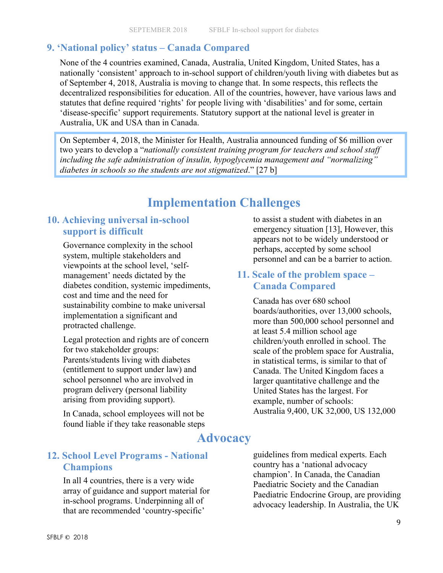# **9. 'National policy' status – Canada Compared**

None of the 4 countries examined, Canada, Australia, United Kingdom, United States, has a nationally 'consistent' approach to in-school support of children/youth living with diabetes but as of September 4, 2018, Australia is moving to change that. In some respects, this reflects the decentralized responsibilities for education. All of the countries, however, have various laws and statutes that define required 'rights' for people living with 'disabilities' and for some, certain 'disease-specific' support requirements. Statutory support at the national level is greater in Australia, UK and USA than in Canada.

On September 4, 2018, the Minister for Health, Australia announced funding of \$6 million over two years to develop a "*nationally consistent training program for teachers and school staff including the safe administration of insulin, hypoglycemia management and "normalizing" diabetes in schools so the students are not stigmatized*." [27 b]

# **Implementation Challenges**

## **10. Achieving universal in-school support is difficult**

Governance complexity in the school system, multiple stakeholders and viewpoints at the school level, 'selfmanagement' needs dictated by the diabetes condition, systemic impediments, cost and time and the need for sustainability combine to make universal implementation a significant and protracted challenge.

Legal protection and rights are of concern for two stakeholder groups: Parents/students living with diabetes (entitlement to support under law) and school personnel who are involved in program delivery (personal liability arising from providing support).

In Canada, school employees will not be found liable if they take reasonable steps to assist a student with diabetes in an emergency situation [13], However, this appears not to be widely understood or perhaps, accepted by some school personnel and can be a barrier to action.

## **11. Scale of the problem space – Canada Compared**

Canada has over 680 school boards/authorities, over 13,000 schools, more than 500,000 school personnel and at least 5.4 million school age children/youth enrolled in school. The scale of the problem space for Australia, in statistical terms, is similar to that of Canada. The United Kingdom faces a larger quantitative challenge and the United States has the largest. For example, number of schools: Australia 9,400, UK 32,000, US 132,000

# **Advocacy**

# **12. School Level Programs - National Champions**

In all 4 countries, there is a very wide array of guidance and support material for in-school programs. Underpinning all of that are recommended 'country-specific'

guidelines from medical experts. Each country has a 'national advocacy champion'. In Canada, the Canadian Paediatric Society and the Canadian Paediatric Endocrine Group, are providing advocacy leadership. In Australia, the UK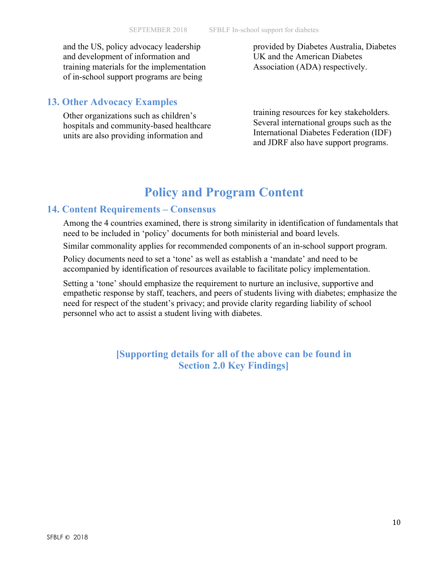and the US, policy advocacy leadership and development of information and training materials for the implementation of in-school support programs are being

provided by Diabetes Australia, Diabetes UK and the American Diabetes Association (ADA) respectively.

# **13. Other Advocacy Examples**

Other organizations such as children's hospitals and community-based healthcare units are also providing information and

training resources for key stakeholders. Several international groups such as the International Diabetes Federation (IDF) and JDRF also have support programs.

# **Policy and Program Content**

### **14. Content Requirements – Consensus**

Among the 4 countries examined, there is strong similarity in identification of fundamentals that need to be included in 'policy' documents for both ministerial and board levels.

Similar commonality applies for recommended components of an in-school support program.

Policy documents need to set a 'tone' as well as establish a 'mandate' and need to be accompanied by identification of resources available to facilitate policy implementation.

Setting a 'tone' should emphasize the requirement to nurture an inclusive, supportive and empathetic response by staff, teachers, and peers of students living with diabetes; emphasize the need for respect of the student's privacy; and provide clarity regarding liability of school personnel who act to assist a student living with diabetes.

> **[Supporting details for all of the above can be found in Section 2.0 Key Findings]**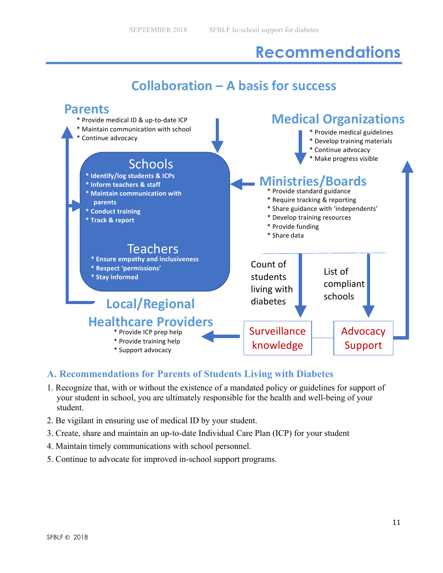# **Recommendations**

# **Collaboration – A basis for success**



## **A. Recommendations for Parents of Students Living with Diabetes**

- 1. Recognize that, with or without the existence of a mandated policy or guidelines for support of your student in school, you are ultimately responsible for the health and well-being of your student.
- 2. Be vigilant in ensuring use of medical ID by your student.
- 3. Create, share and maintain an up-to-date Individual Care Plan (ICP) for your student
- 4. Maintain timely communications with school personnel.
- 5. Continue to advocate for improved in-school support programs.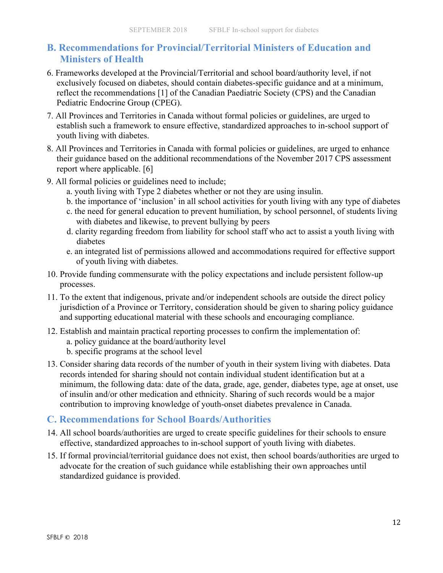# **B. Recommendations for Provincial/Territorial Ministers of Education and Ministers of Health**

- 6. Frameworks developed at the Provincial/Territorial and school board/authority level, if not exclusively focused on diabetes, should contain diabetes-specific guidance and at a minimum, reflect the recommendations [1] of the Canadian Paediatric Society (CPS) and the Canadian Pediatric Endocrine Group (CPEG).
- 7. All Provinces and Territories in Canada without formal policies or guidelines, are urged to establish such a framework to ensure effective, standardized approaches to in-school support of youth living with diabetes.
- 8. All Provinces and Territories in Canada with formal policies or guidelines, are urged to enhance their guidance based on the additional recommendations of the November 2017 CPS assessment report where applicable. [6]
- 9. All formal policies or guidelines need to include;
	- a. youth living with Type 2 diabetes whether or not they are using insulin.
	- b. the importance of 'inclusion' in all school activities for youth living with any type of diabetes
	- c. the need for general education to prevent humiliation, by school personnel, of students living with diabetes and likewise, to prevent bullying by peers
	- d. clarity regarding freedom from liability for school staff who act to assist a youth living with diabetes
	- e. an integrated list of permissions allowed and accommodations required for effective support of youth living with diabetes.
- 10. Provide funding commensurate with the policy expectations and include persistent follow-up processes.
- 11. To the extent that indigenous, private and/or independent schools are outside the direct policy jurisdiction of a Province or Territory, consideration should be given to sharing policy guidance and supporting educational material with these schools and encouraging compliance.
- 12. Establish and maintain practical reporting processes to confirm the implementation of:
	- a. policy guidance at the board/authority level
	- b. specific programs at the school level
- 13. Consider sharing data records of the number of youth in their system living with diabetes. Data records intended for sharing should not contain individual student identification but at a minimum, the following data: date of the data, grade, age, gender, diabetes type, age at onset, use of insulin and/or other medication and ethnicity. Sharing of such records would be a major contribution to improving knowledge of youth-onset diabetes prevalence in Canada.

## **C. Recommendations for School Boards/Authorities**

- 14. All school boards/authorities are urged to create specific guidelines for their schools to ensure effective, standardized approaches to in-school support of youth living with diabetes.
- 15. If formal provincial/territorial guidance does not exist, then school boards/authorities are urged to advocate for the creation of such guidance while establishing their own approaches until standardized guidance is provided.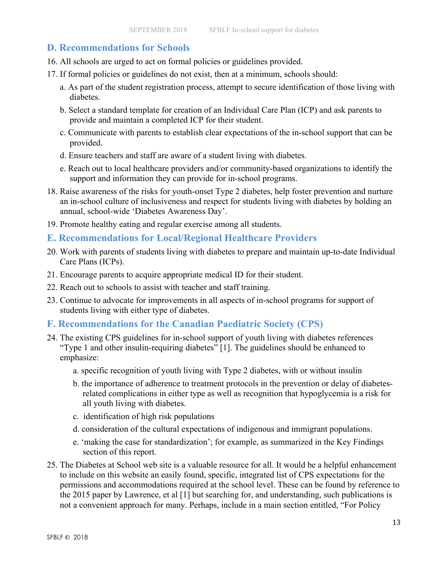## **D. Recommendations for Schools**

- 16. All schools are urged to act on formal policies or guidelines provided.
- 17. If formal policies or guidelines do not exist, then at a minimum, schools should:
	- a. As part of the student registration process, attempt to secure identification of those living with diabetes.
	- b. Select a standard template for creation of an Individual Care Plan (ICP) and ask parents to provide and maintain a completed ICP for their student.
	- c. Communicate with parents to establish clear expectations of the in-school support that can be provided.
	- d. Ensure teachers and staff are aware of a student living with diabetes.
	- e. Reach out to local healthcare providers and/or community-based organizations to identify the support and information they can provide for in-school programs.
- 18. Raise awareness of the risks for youth-onset Type 2 diabetes, help foster prevention and nurture an in-school culture of inclusiveness and respect for students living with diabetes by holding an annual, school-wide 'Diabetes Awareness Day'.
- 19. Promote healthy eating and regular exercise among all students.

#### **E. Recommendations for Local/Regional Healthcare Providers**

- 20. Work with parents of students living with diabetes to prepare and maintain up-to-date Individual Care Plans (ICPs).
- 21. Encourage parents to acquire appropriate medical ID for their student.
- 22. Reach out to schools to assist with teacher and staff training.
- 23. Continue to advocate for improvements in all aspects of in-school programs for support of students living with either type of diabetes.

### **F. Recommendations for the Canadian Paediatric Society (CPS)**

- 24. The existing CPS guidelines for in-school support of youth living with diabetes references "Type 1 and other insulin-requiring diabetes" [1]. The guidelines should be enhanced to emphasize:
	- a. specific recognition of youth living with Type 2 diabetes, with or without insulin
	- b. the importance of adherence to treatment protocols in the prevention or delay of diabetesrelated complications in either type as well as recognition that hypoglycemia is a risk for all youth living with diabetes.
	- c. identification of high risk populations
	- d. consideration of the cultural expectations of indigenous and immigrant populations.
	- e. 'making the case for standardization'; for example, as summarized in the Key Findings section of this report.
- 25. The Diabetes at School web site is a valuable resource for all. It would be a helpful enhancement to include on this website an easily found, specific, integrated list of CPS expectations for the permissions and accommodations required at the school level. These can be found by reference to the 2015 paper by Lawrence, et al [1] but searching for, and understanding, such publications is not a convenient approach for many. Perhaps, include in a main section entitled, "For Policy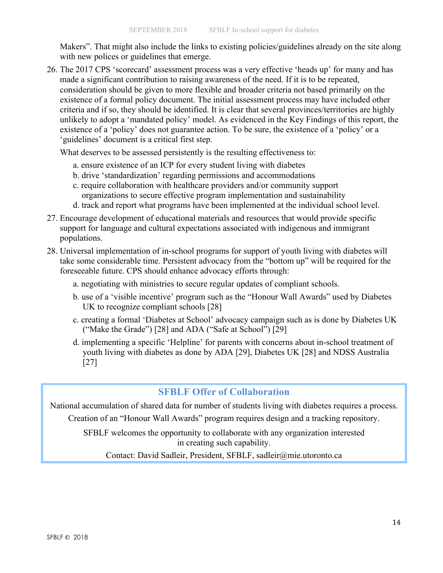Makers". That might also include the links to existing policies/guidelines already on the site along with new polices or guidelines that emerge.

26. The 2017 CPS 'scorecard' assessment process was a very effective 'heads up' for many and has made a significant contribution to raising awareness of the need. If it is to be repeated, consideration should be given to more flexible and broader criteria not based primarily on the existence of a formal policy document. The initial assessment process may have included other criteria and if so, they should be identified. It is clear that several provinces/territories are highly unlikely to adopt a 'mandated policy' model. As evidenced in the Key Findings of this report, the existence of a 'policy' does not guarantee action. To be sure, the existence of a 'policy' or a 'guidelines' document is a critical first step.

What deserves to be assessed persistently is the resulting effectiveness to:

- a. ensure existence of an ICP for every student living with diabetes
- b. drive 'standardization' regarding permissions and accommodations
- c. require collaboration with healthcare providers and/or community support organizations to secure effective program implementation and sustainability
- d. track and report what programs have been implemented at the individual school level.
- 27. Encourage development of educational materials and resources that would provide specific support for language and cultural expectations associated with indigenous and immigrant populations.
- 28. Universal implementation of in-school programs for support of youth living with diabetes will take some considerable time. Persistent advocacy from the "bottom up" will be required for the foreseeable future. CPS should enhance advocacy efforts through:
	- a. negotiating with ministries to secure regular updates of compliant schools.
	- b. use of a 'visible incentive' program such as the "Honour Wall Awards" used by Diabetes UK to recognize compliant schools [28]
	- c. creating a formal 'Diabetes at School' advocacy campaign such as is done by Diabetes UK ("Make the Grade") [28] and ADA ("Safe at School") [29]
	- d. implementing a specific 'Helpline' for parents with concerns about in-school treatment of youth living with diabetes as done by ADA [29], Diabetes UK [28] and NDSS Australia [27]

## **SFBLF Offer of Collaboration**

National accumulation of shared data for number of students living with diabetes requires a process. Creation of an "Honour Wall Awards" program requires design and a tracking repository.

SFBLF welcomes the opportunity to collaborate with any organization interested in creating such capability.

Contact: David Sadleir, President, SFBLF, sadleir@mie.utoronto.ca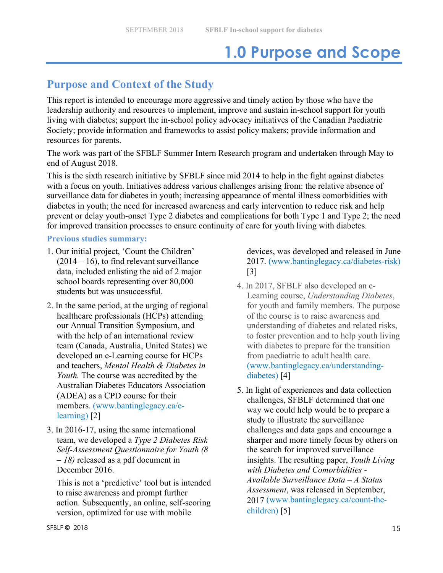# **1.0 Purpose and Scope**

# **Purpose and Context of the Study**

This report is intended to encourage more aggressive and timely action by those who have the leadership authority and resources to implement, improve and sustain in-school support for youth living with diabetes; support the in-school policy advocacy initiatives of the Canadian Paediatric Society; provide information and frameworks to assist policy makers; provide information and resources for parents.

The work was part of the SFBLF Summer Intern Research program and undertaken through May to end of August 2018.

This is the sixth research initiative by SFBLF since mid 2014 to help in the fight against diabetes with a focus on youth. Initiatives address various challenges arising from: the relative absence of surveillance data for diabetes in youth; increasing appearance of mental illness comorbidities with diabetes in youth; the need for increased awareness and early intervention to reduce risk and help prevent or delay youth-onset Type 2 diabetes and complications for both Type 1 and Type 2; the need for improved transition processes to ensure continuity of care for youth living with diabetes.

#### **Previous studies summary:**

- 1. Our initial project, 'Count the Children'  $(2014 – 16)$ , to find relevant surveillance data, included enlisting the aid of 2 major school boards representing over 80,000 students but was unsuccessful.
- 2. In the same period, at the urging of regional healthcare professionals (HCPs) attending our Annual Transition Symposium, and with the help of an international review team (Canada, Australia, United States) we developed an e-Learning course for HCPs and teachers, *Mental Health & Diabetes in Youth.* The course was accredited by the Australian Diabetes Educators Association (ADEA) as a CPD course for their members*.* (www.bantinglegacy.ca/elearning) [2]
- 3. In 2016-17, using the same international team, we developed a *Type 2 Diabetes Risk Self-Assessment Questionnaire for Youth (8 – 18)* released as a pdf document in December 2016.

This is not a 'predictive' tool but is intended to raise awareness and prompt further action. Subsequently, an online, self-scoring version, optimized for use with mobile

devices, was developed and released in June 2017. (www.bantinglegacy.ca/diabetes-risk) [3]

- 4. In 2017, SFBLF also developed an e-Learning course, *Understanding Diabetes*, for youth and family members. The purpose of the course is to raise awareness and understanding of diabetes and related risks, to foster prevention and to help youth living with diabetes to prepare for the transition from paediatric to adult health care. (www.bantinglegacy.ca/understandingdiabetes) [4]
- 5. In light of experiences and data collection challenges, SFBLF determined that one way we could help would be to prepare a study to illustrate the surveillance challenges and data gaps and encourage a sharper and more timely focus by others on the search for improved surveillance insights. The resulting paper, *Youth Living with Diabetes and Comorbidities - Available Surveillance Data – A Status Assessment*, was released in September, 2017 (www.bantinglegacy.ca/count-thechildren) [5]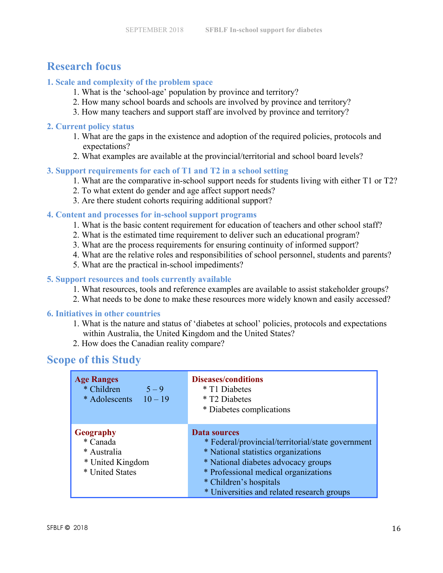# **Research focus**

### **1. Scale and complexity of the problem space**

- 1. What is the 'school-age' population by province and territory?
- 2. How many school boards and schools are involved by province and territory?
- 3. How many teachers and support staff are involved by province and territory?

#### **2. Current policy status**

- 1. What are the gaps in the existence and adoption of the required policies, protocols and expectations?
- 2. What examples are available at the provincial/territorial and school board levels?

#### **3. Support requirements for each of T1 and T2 in a school setting**

- 1. What are the comparative in-school support needs for students living with either T1 or T2?
- 2. To what extent do gender and age affect support needs?
- 3. Are there student cohorts requiring additional support?

#### **4. Content and processes for in-school support programs**

- 1. What is the basic content requirement for education of teachers and other school staff?
- 2. What is the estimated time requirement to deliver such an educational program?
- 3. What are the process requirements for ensuring continuity of informed support?
- 4. What are the relative roles and responsibilities of school personnel, students and parents?
- 5. What are the practical in-school impediments?

#### **5. Support resources and tools currently available**

- 1. What resources, tools and reference examples are available to assist stakeholder groups?
- 2. What needs to be done to make these resources more widely known and easily accessed?

#### **6. Initiatives in other countries**

- 1. What is the nature and status of 'diabetes at school' policies, protocols and expectations within Australia, the United Kingdom and the United States?
- 2. How does the Canadian reality compare?

# **Scope of this Study**

| <b>Age Ranges</b>                                                                  | <b>Diseases/conditions</b>                                                                                                                                                                                                                                             |
|------------------------------------------------------------------------------------|------------------------------------------------------------------------------------------------------------------------------------------------------------------------------------------------------------------------------------------------------------------------|
| * Children                                                                         | * T1 Diabetes                                                                                                                                                                                                                                                          |
| $5 - 9$                                                                            | * T <sub>2</sub> Diabetes                                                                                                                                                                                                                                              |
| * Adolescents $10-19$                                                              | * Diabetes complications                                                                                                                                                                                                                                               |
| <b>Geography</b><br>* Canada<br>* Australia<br>* United Kingdom<br>* United States | <b>Data sources</b><br>* Federal/provincial/territorial/state government<br>* National statistics organizations<br>* National diabetes advocacy groups<br>* Professional medical organizations<br>* Children's hospitals<br>* Universities and related research groups |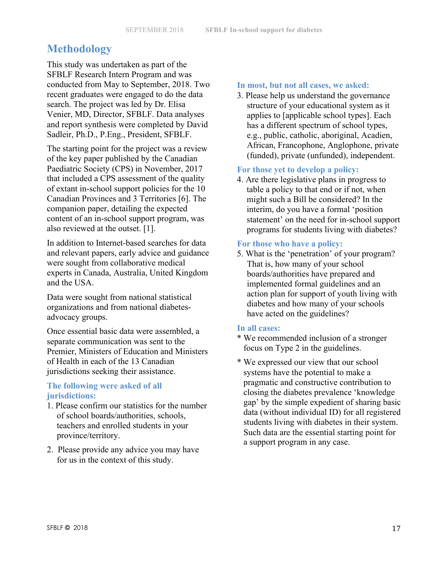# **Methodology**

This study was undertaken as part of the SFBLF Research Intern Program and was conducted from May to September, 2018. Two recent graduates were engaged to do the data search. The project was led by Dr. Elisa Venier, MD, Director, SFBLF. Data analyses and report synthesis were completed by David Sadleir, Ph.D., P.Eng., President, SFBLF.

The starting point for the project was a review of the key paper published by the Canadian Paediatric Society (CPS) in November, 2017 that included a CPS assessment of the quality of extant in-school support policies for the 10 Canadian Provinces and 3 Territories [6]. The companion paper, detailing the expected content of an in-school support program, was also reviewed at the outset. [1].

In addition to Internet-based searches for data and relevant papers, early advice and guidance were sought from collaborative medical experts in Canada, Australia, United Kingdom and the USA.

Data were sought from national statistical organizations and from national diabetesadvocacy groups.

Once essential basic data were assembled, a separate communication was sent to the Premier, Ministers of Education and Ministers of Health in each of the 13 Canadian jurisdictions seeking their assistance.

#### **The following were asked of all jurisdictions:**

- 1. Please confirm our statistics for the number of school boards/authorities, schools, teachers and enrolled students in your province/territory.
- 2. Please provide any advice you may have for us in the context of this study.

#### **In most, but not all cases, we asked:**

3. Please help us understand the governance structure of your educational system as it applies to [applicable school types]. Each has a different spectrum of school types, e.g., public, catholic, aboriginal, Acadien, African, Francophone, Anglophone, private (funded), private (unfunded), independent.

#### **For those yet to develop a policy:**

4. Are there legislative plans in progress to table a policy to that end or if not, when might such a Bill be considered? In the interim, do you have a formal 'position statement' on the need for in-school support programs for students living with diabetes?

#### **For those who have a policy:**

5. What is the 'penetration' of your program? That is, how many of your school boards/authorities have prepared and implemented formal guidelines and an action plan for support of youth living with diabetes and how many of your schools have acted on the guidelines?

#### **In all cases:**

- \* We recommended inclusion of a stronger focus on Type 2 in the guidelines.
- \* We expressed our view that our school systems have the potential to make a pragmatic and constructive contribution to closing the diabetes prevalence 'knowledge gap' by the simple expedient of sharing basic data (without individual ID) for all registered students living with diabetes in their system. Such data are the essential starting point for a support program in any case.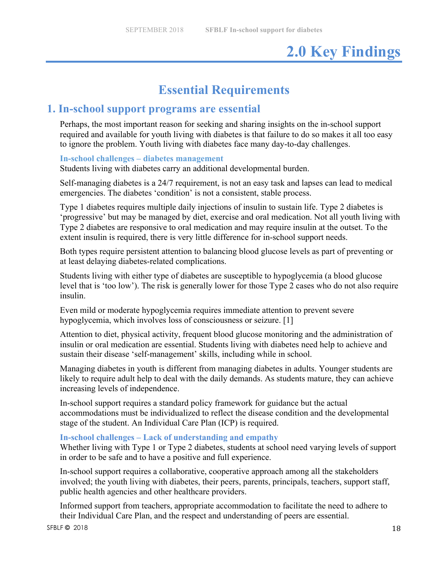# **2.0 Key Findings**

# **Essential Requirements**

# **1. In-school support programs are essential**

Perhaps, the most important reason for seeking and sharing insights on the in-school support required and available for youth living with diabetes is that failure to do so makes it all too easy to ignore the problem. Youth living with diabetes face many day-to-day challenges.

#### **In-school challenges – diabetes management**

Students living with diabetes carry an additional developmental burden.

Self-managing diabetes is a 24/7 requirement, is not an easy task and lapses can lead to medical emergencies. The diabetes 'condition' is not a consistent, stable process.

Type 1 diabetes requires multiple daily injections of insulin to sustain life. Type 2 diabetes is 'progressive' but may be managed by diet, exercise and oral medication. Not all youth living with Type 2 diabetes are responsive to oral medication and may require insulin at the outset. To the extent insulin is required, there is very little difference for in-school support needs.

Both types require persistent attention to balancing blood glucose levels as part of preventing or at least delaying diabetes-related complications.

Students living with either type of diabetes are susceptible to hypoglycemia (a blood glucose level that is 'too low'). The risk is generally lower for those Type 2 cases who do not also require insulin.

Even mild or moderate hypoglycemia requires immediate attention to prevent severe hypoglycemia, which involves loss of consciousness or seizure. [1]

Attention to diet, physical activity, frequent blood glucose monitoring and the administration of insulin or oral medication are essential. Students living with diabetes need help to achieve and sustain their disease 'self-management' skills, including while in school.

Managing diabetes in youth is different from managing diabetes in adults. Younger students are likely to require adult help to deal with the daily demands. As students mature, they can achieve increasing levels of independence.

In-school support requires a standard policy framework for guidance but the actual accommodations must be individualized to reflect the disease condition and the developmental stage of the student. An Individual Care Plan (ICP) is required.

#### **In-school challenges – Lack of understanding and empathy**

Whether living with Type 1 or Type 2 diabetes, students at school need varying levels of support in order to be safe and to have a positive and full experience.

In-school support requires a collaborative, cooperative approach among all the stakeholders involved; the youth living with diabetes, their peers, parents, principals, teachers, support staff, public health agencies and other healthcare providers.

Informed support from teachers, appropriate accommodation to facilitate the need to adhere to their Individual Care Plan, and the respect and understanding of peers are essential.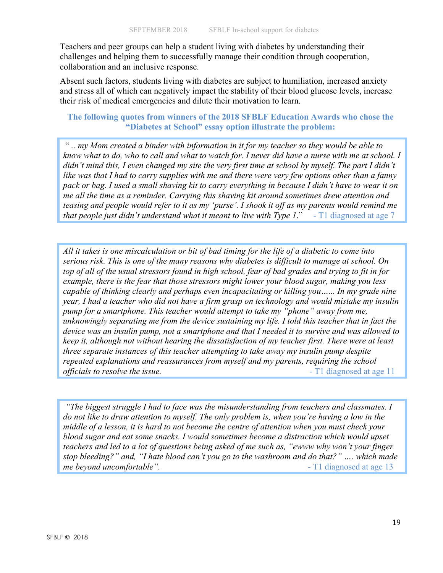Teachers and peer groups can help a student living with diabetes by understanding their challenges and helping them to successfully manage their condition through cooperation, collaboration and an inclusive response.

Absent such factors, students living with diabetes are subject to humiliation, increased anxiety and stress all of which can negatively impact the stability of their blood glucose levels, increase their risk of medical emergencies and dilute their motivation to learn.

#### **The following quotes from winners of the 2018 SFBLF Education Awards who chose the "Diabetes at School" essay option illustrate the problem:**

" *.. my Mom created a binder with information in it for my teacher so they would be able to know what to do, who to call and what to watch for. I never did have a nurse with me at school. I didn't mind this, I even changed my site the very first time at school by myself. The part I didn't like was that I had to carry supplies with me and there were very few options other than a fanny pack or bag. I used a small shaving kit to carry everything in because I didn't have to wear it on me all the time as a reminder. Carrying this shaving kit around sometimes drew attention and teasing and people would refer to it as my 'purse'. I shook it off as my parents would remind me that people just didn't understand what it meant to live with Type 1*." - T1 diagnosed at age 7

*All it takes is one miscalculation or bit of bad timing for the life of a diabetic to come into serious risk. This is one of the many reasons why diabetes is difficult to manage at school. On top of all of the usual stressors found in high school, fear of bad grades and trying to fit in for example, there is the fear that those stressors might lower your blood sugar, making you less capable of thinking clearly and perhaps even incapacitating or killing you…... In my grade nine year, I had a teacher who did not have a firm grasp on technology and would mistake my insulin pump for a smartphone. This teacher would attempt to take my "phone" away from me, unknowingly separating me from the device sustaining my life. I told this teacher that in fact the device was an insulin pump, not a smartphone and that I needed it to survive and was allowed to keep it, although not without hearing the dissatisfaction of my teacher first. There were at least three separate instances of this teacher attempting to take away my insulin pump despite repeated explanations and reassurances from myself and my parents, requiring the school officials to resolve the issue.*  $\blacksquare$   $\blacksquare$   $\blacksquare$   $\blacksquare$   $\blacksquare$   $\blacksquare$   $\blacksquare$   $\blacksquare$   $\blacksquare$   $\blacksquare$   $\blacksquare$   $\blacksquare$   $\blacksquare$   $\blacksquare$   $\blacksquare$   $\blacksquare$   $\blacksquare$   $\blacksquare$   $\blacksquare$   $\blacksquare$   $\blacksquare$   $\blacksquare$   $\blacksquare$   $\blacksquare$   $\blacksquare$   $\blacksquare$   $\blacksquare$ 

*"The biggest struggle I had to face was the misunderstanding from teachers and classmates. I do not like to draw attention to myself. The only problem is, when you're having a low in the middle of a lesson, it is hard to not become the centre of attention when you must check your blood sugar and eat some snacks. I would sometimes become a distraction which would upset teachers and led to a lot of questions being asked of me such as, "ewww why won't your finger stop bleeding?" and, "I hate blood can't you go to the washroom and do that?" …. which made me beyond uncomfortable"*.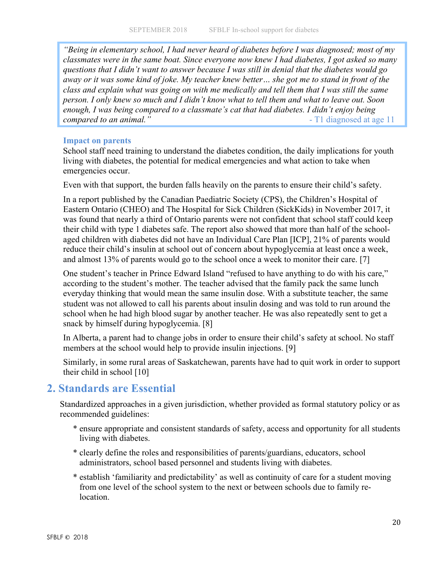*"Being in elementary school, I had never heard of diabetes before I was diagnosed; most of my classmates were in the same boat. Since everyone now knew I had diabetes, I got asked so many questions that I didn't want to answer because I was still in denial that the diabetes would go away or it was some kind of joke. My teacher knew better… she got me to stand in front of the class and explain what was going on with me medically and tell them that I was still the same person. I only knew so much and I didn't know what to tell them and what to leave out. Soon enough, I was being compared to a classmate's cat that had diabetes. I didn't enjoy being compared to an animal.*"

#### **Impact on parents**

School staff need training to understand the diabetes condition, the daily implications for youth living with diabetes, the potential for medical emergencies and what action to take when emergencies occur.

Even with that support, the burden falls heavily on the parents to ensure their child's safety.

In a report published by the Canadian Paediatric Society (CPS), the Children's Hospital of Eastern Ontario (CHEO) and The Hospital for Sick Children (SickKids) in November 2017, it was found that nearly a third of Ontario parents were not confident that school staff could keep their child with type 1 diabetes safe. The report also showed that more than half of the schoolaged children with diabetes did not have an Individual Care Plan [ICP], 21% of parents would reduce their child's insulin at school out of concern about hypoglycemia at least once a week, and almost 13% of parents would go to the school once a week to monitor their care. [7]

One student's teacher in Prince Edward Island "refused to have anything to do with his care," according to the student's mother. The teacher advised that the family pack the same lunch everyday thinking that would mean the same insulin dose. With a substitute teacher, the same student was not allowed to call his parents about insulin dosing and was told to run around the school when he had high blood sugar by another teacher. He was also repeatedly sent to get a snack by himself during hypoglycemia. [8]

In Alberta, a parent had to change jobs in order to ensure their child's safety at school. No staff members at the school would help to provide insulin injections. [9]

Similarly, in some rural areas of Saskatchewan, parents have had to quit work in order to support their child in school [10]

# **2. Standards are Essential**

Standardized approaches in a given jurisdiction, whether provided as formal statutory policy or as recommended guidelines:

- \* ensure appropriate and consistent standards of safety, access and opportunity for all students living with diabetes.
- \* clearly define the roles and responsibilities of parents/guardians, educators, school administrators, school based personnel and students living with diabetes.
- \* establish 'familiarity and predictability' as well as continuity of care for a student moving from one level of the school system to the next or between schools due to family relocation.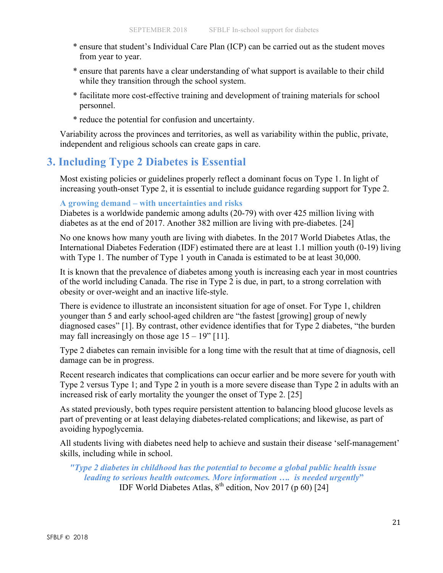- \* ensure that student's Individual Care Plan (ICP) can be carried out as the student moves from year to year.
- \* ensure that parents have a clear understanding of what support is available to their child while they transition through the school system.
- \* facilitate more cost-effective training and development of training materials for school personnel.
- \* reduce the potential for confusion and uncertainty.

Variability across the provinces and territories, as well as variability within the public, private, independent and religious schools can create gaps in care.

# **3. Including Type 2 Diabetes is Essential**

Most existing policies or guidelines properly reflect a dominant focus on Type 1. In light of increasing youth-onset Type 2, it is essential to include guidance regarding support for Type 2.

#### **A growing demand – with uncertainties and risks**

Diabetes is a worldwide pandemic among adults (20-79) with over 425 million living with diabetes as at the end of 2017. Another 382 million are living with pre-diabetes. [24]

No one knows how many youth are living with diabetes. In the 2017 World Diabetes Atlas, the International Diabetes Federation (IDF) estimated there are at least 1.1 million youth (0-19) living with Type 1. The number of Type 1 youth in Canada is estimated to be at least 30,000.

It is known that the prevalence of diabetes among youth is increasing each year in most countries of the world including Canada. The rise in Type 2 is due, in part, to a strong correlation with obesity or over-weight and an inactive life-style.

There is evidence to illustrate an inconsistent situation for age of onset. For Type 1, children younger than 5 and early school-aged children are "the fastest [growing] group of newly diagnosed cases" [1]. By contrast, other evidence identifies that for Type 2 diabetes, "the burden may fall increasingly on those age  $15 - 19$ " [11].

Type 2 diabetes can remain invisible for a long time with the result that at time of diagnosis, cell damage can be in progress.

Recent research indicates that complications can occur earlier and be more severe for youth with Type 2 versus Type 1; and Type 2 in youth is a more severe disease than Type 2 in adults with an increased risk of early mortality the younger the onset of Type 2. [25]

As stated previously, both types require persistent attention to balancing blood glucose levels as part of preventing or at least delaying diabetes-related complications; and likewise, as part of avoiding hypoglycemia.

All students living with diabetes need help to achieve and sustain their disease 'self-management' skills, including while in school.

*"Type 2 diabetes in childhood has the potential to become a global public health issue leading to serious health outcomes. More information …. is needed urgently***"** IDF World Diabetes Atlas,  $8^{th}$  edition, Nov 2017 (p 60) [24]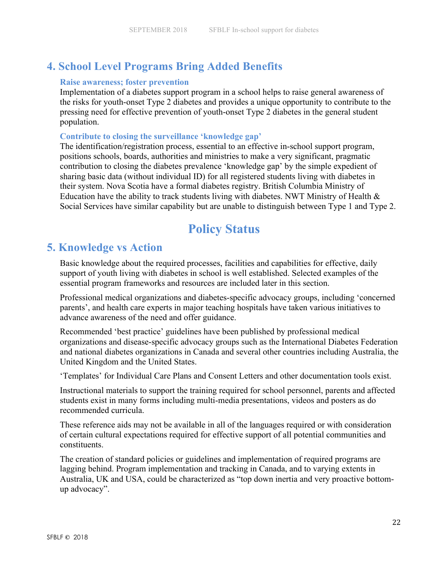# **4. School Level Programs Bring Added Benefits**

#### **Raise awareness; foster prevention**

Implementation of a diabetes support program in a school helps to raise general awareness of the risks for youth-onset Type 2 diabetes and provides a unique opportunity to contribute to the pressing need for effective prevention of youth-onset Type 2 diabetes in the general student population.

#### **Contribute to closing the surveillance 'knowledge gap'**

The identification/registration process, essential to an effective in-school support program, positions schools, boards, authorities and ministries to make a very significant, pragmatic contribution to closing the diabetes prevalence 'knowledge gap' by the simple expedient of sharing basic data (without individual ID) for all registered students living with diabetes in their system. Nova Scotia have a formal diabetes registry. British Columbia Ministry of Education have the ability to track students living with diabetes. NWT Ministry of Health  $\&$ Social Services have similar capability but are unable to distinguish between Type 1 and Type 2.

# **Policy Status**

# **5. Knowledge vs Action**

Basic knowledge about the required processes, facilities and capabilities for effective, daily support of youth living with diabetes in school is well established. Selected examples of the essential program frameworks and resources are included later in this section.

Professional medical organizations and diabetes-specific advocacy groups, including 'concerned parents', and health care experts in major teaching hospitals have taken various initiatives to advance awareness of the need and offer guidance.

Recommended 'best practice' guidelines have been published by professional medical organizations and disease-specific advocacy groups such as the International Diabetes Federation and national diabetes organizations in Canada and several other countries including Australia, the United Kingdom and the United States.

'Templates' for Individual Care Plans and Consent Letters and other documentation tools exist.

Instructional materials to support the training required for school personnel, parents and affected students exist in many forms including multi-media presentations, videos and posters as do recommended curricula.

These reference aids may not be available in all of the languages required or with consideration of certain cultural expectations required for effective support of all potential communities and constituents.

The creation of standard policies or guidelines and implementation of required programs are lagging behind. Program implementation and tracking in Canada, and to varying extents in Australia, UK and USA, could be characterized as "top down inertia and very proactive bottomup advocacy".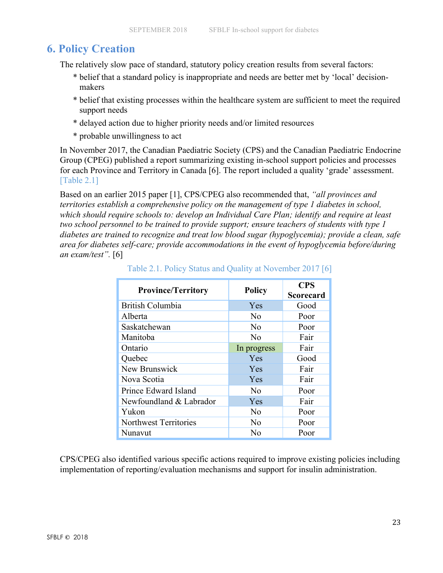# **6. Policy Creation**

The relatively slow pace of standard, statutory policy creation results from several factors:

- \* belief that a standard policy is inappropriate and needs are better met by 'local' decisionmakers
- \* belief that existing processes within the healthcare system are sufficient to meet the required support needs
- \* delayed action due to higher priority needs and/or limited resources
- \* probable unwillingness to act

In November 2017, the Canadian Paediatric Society (CPS) and the Canadian Paediatric Endocrine Group (CPEG) published a report summarizing existing in-school support policies and processes for each Province and Territory in Canada [6]. The report included a quality 'grade' assessment. [Table 2.1]

Based on an earlier 2015 paper [1], CPS/CPEG also recommended that, *"all provinces and territories establish a comprehensive policy on the management of type 1 diabetes in school, which should require schools to: develop an Individual Care Plan; identify and require at least two school personnel to be trained to provide support; ensure teachers of students with type 1 diabetes are trained to recognize and treat low blood sugar (hypoglycemia); provide a clean, safe area for diabetes self-care; provide accommodations in the event of hypoglycemia before/during an exam/test".* [6]

| <b>Province/Territory</b> | <b>Policy</b>  | <b>CPS</b>       |
|---------------------------|----------------|------------------|
|                           |                | <b>Scorecard</b> |
| <b>British Columbia</b>   | Yes            | Good             |
| Alberta                   | No             | Poor             |
| Saskatchewan              | N <sub>0</sub> | Poor             |
| Manitoba                  | N <sub>0</sub> | Fair             |
| Ontario                   | In progress    | Fair             |
| Quebec                    | Yes            | Good             |
| New Brunswick             | Yes            | Fair             |
| Nova Scotia               | Yes            | Fair             |
| Prince Edward Island      | $\rm No$       | Poor             |
| Newfoundland & Labrador   | Yes            | Fair             |
| Yukon                     | No             | Poor             |
| Northwest Territories     | N <sub>0</sub> | Poor             |
| Nunavut                   | N٥             | Poor             |

Table 2.1. Policy Status and Quality at November 2017 [6]

CPS/CPEG also identified various specific actions required to improve existing policies including implementation of reporting/evaluation mechanisms and support for insulin administration.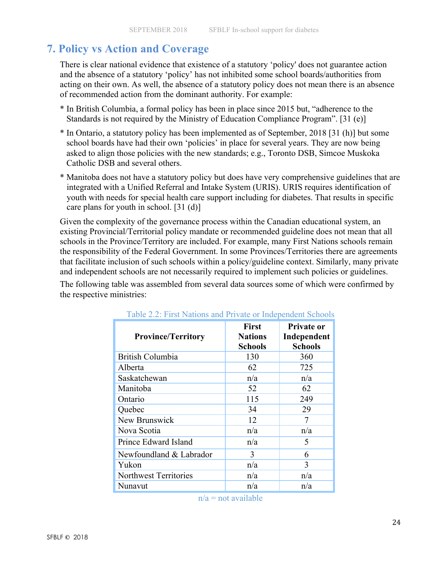# **7. Policy vs Action and Coverage**

There is clear national evidence that existence of a statutory 'policy' does not guarantee action and the absence of a statutory 'policy' has not inhibited some school boards/authorities from acting on their own. As well, the absence of a statutory policy does not mean there is an absence of recommended action from the dominant authority. For example:

- \* In British Columbia, a formal policy has been in place since 2015 but, "adherence to the Standards is not required by the Ministry of Education Compliance Program". [31 (e)]
- \* In Ontario, a statutory policy has been implemented as of September, 2018 [31 (h)] but some school boards have had their own 'policies' in place for several years. They are now being asked to align those policies with the new standards; e.g., Toronto DSB, Simcoe Muskoka Catholic DSB and several others.
- \* Manitoba does not have a statutory policy but does have very comprehensive guidelines that are integrated with a Unified Referral and Intake System (URIS). URIS requires identification of youth with needs for special health care support including for diabetes. That results in specific care plans for youth in school. [31 (d)]

Given the complexity of the governance process within the Canadian educational system, an existing Provincial/Territorial policy mandate or recommended guideline does not mean that all schools in the Province/Territory are included. For example, many First Nations schools remain the responsibility of the Federal Government. In some Provinces/Territories there are agreements that facilitate inclusion of such schools within a policy/guideline context. Similarly, many private and independent schools are not necessarily required to implement such policies or guidelines.

The following table was assembled from several data sources some of which were confirmed by the respective ministries:

| <b>Province/Territory</b>    | <b>First</b><br><b>Nations</b><br><b>Schools</b> | <b>Private or</b><br>Independent<br><b>Schools</b> |
|------------------------------|--------------------------------------------------|----------------------------------------------------|
| British Columbia             | 130                                              | 360                                                |
| Alberta                      | 62                                               | 725                                                |
| Saskatchewan                 | n/a                                              | n/a                                                |
| Manitoba                     | 52                                               | 62                                                 |
| Ontario                      | 115                                              | 249                                                |
| Quebec                       | 34                                               | 29                                                 |
| New Brunswick                | 12                                               | 7                                                  |
| Nova Scotia                  | n/a                                              | n/a                                                |
| Prince Edward Island         | n/a                                              | 5                                                  |
| Newfoundland & Labrador      | 3                                                | 6                                                  |
| Yukon                        | n/a                                              | 3                                                  |
| <b>Northwest Territories</b> | n/a                                              | n/a                                                |
| Nunavut                      | n/a                                              | n/a                                                |
|                              |                                                  |                                                    |

#### Table 2.2: First Nations and Private or Independent Schools

 $n/a$  = not available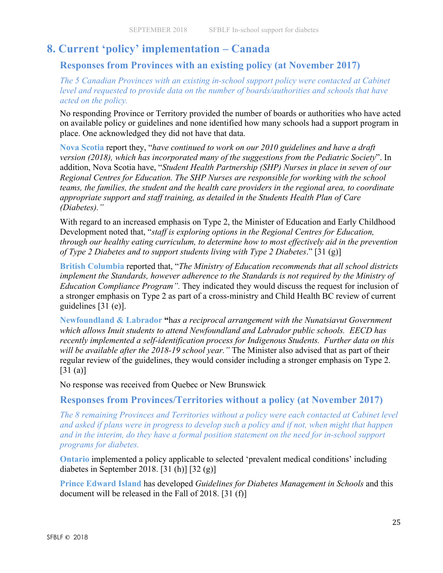# **8. Current 'policy' implementation – Canada**

**Responses from Provinces with an existing policy (at November 2017)**

*The 5 Canadian Provinces with an existing in-school support policy were contacted at Cabinet level and requested to provide data on the number of boards/authorities and schools that have acted on the policy.* 

No responding Province or Territory provided the number of boards or authorities who have acted on available policy or guidelines and none identified how many schools had a support program in place. One acknowledged they did not have that data.

**Nova Scotia** report they, "*have continued to work on our 2010 guidelines and have a draft version (2018), which has incorporated many of the suggestions from the Pediatric Society*". In addition, Nova Scotia have, "*Student Health Partnership (SHP) Nurses in place in seven of our Regional Centres for Education. The SHP Nurses are responsible for working with the school teams, the families, the student and the health care providers in the regional area, to coordinate appropriate support and staff training, as detailed in the Students Health Plan of Care (Diabetes)."*

With regard to an increased emphasis on Type 2, the Minister of Education and Early Childhood Development noted that, "*staff is exploring options in the Regional Centres for Education, through our healthy eating curriculum, to determine how to most effectively aid in the prevention of Type 2 Diabetes and to support students living with Type 2 Diabetes*." [31 (g)]

**British Columbia** reported that, "*The Ministry of Education recommends that all school districts implement the Standards, however adherence to the Standards is not required by the Ministry of Education Compliance Program".* They indicated they would discuss the request for inclusion of a stronger emphasis on Type 2 as part of a cross-ministry and Child Health BC review of current guidelines [31 (e)].

**Newfoundland & Labrador "**h*as a reciprocal arrangement with the Nunatsiavut Government which allows Inuit students to attend Newfoundland and Labrador public schools. EECD has recently implemented a self-identification process for Indigenous Students. Further data on this will be available after the 2018-19 school year."* The Minister also advised that as part of their regular review of the guidelines, they would consider including a stronger emphasis on Type 2. [31 (a)]

No response was received from Quebec or New Brunswick

**Responses from Provinces/Territories without a policy (at November 2017)**

*The 8 remaining Provinces and Territories without a policy were each contacted at Cabinet level and asked if plans were in progress to develop such a policy and if not, when might that happen and in the interim, do they have a formal position statement on the need for in-school support programs for diabetes.*

**Ontario** implemented a policy applicable to selected 'prevalent medical conditions' including diabetes in September 2018. [31 (h)] [32 (g)]

**Prince Edward Island** has developed *Guidelines for Diabetes Management in Schools* and this document will be released in the Fall of 2018. [31 (f)]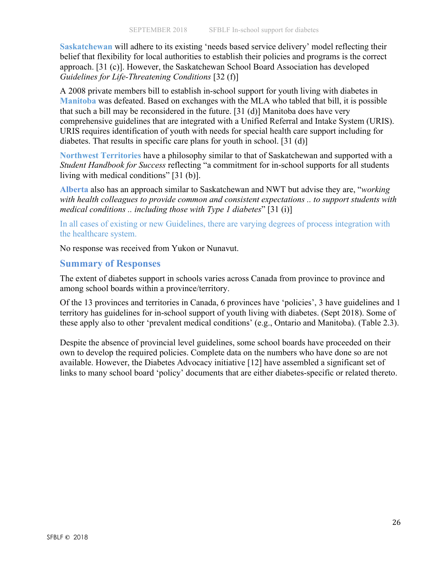**Saskatchewan** will adhere to its existing 'needs based service delivery' model reflecting their belief that flexibility for local authorities to establish their policies and programs is the correct approach. [31 (c)]. However, the Saskatchewan School Board Association has developed *Guidelines for Life-Threatening Conditions* [32 (f)]

A 2008 private members bill to establish in-school support for youth living with diabetes in **Manitoba** was defeated. Based on exchanges with the MLA who tabled that bill, it is possible that such a bill may be reconsidered in the future. [31 (d)] Manitoba does have very comprehensive guidelines that are integrated with a Unified Referral and Intake System (URIS). URIS requires identification of youth with needs for special health care support including for diabetes. That results in specific care plans for youth in school. [31 (d)]

**Northwest Territories** have a philosophy similar to that of Saskatchewan and supported with a *Student Handbook for Success* reflecting "a commitment for in-school supports for all students living with medical conditions" [31 (b)].

**Alberta** also has an approach similar to Saskatchewan and NWT but advise they are, "*working with health colleagues to provide common and consistent expectations .. to support students with medical conditions .. including those with Type 1 diabetes*" [31 (i)]

In all cases of existing or new Guidelines, there are varying degrees of process integration with the healthcare system.

No response was received from Yukon or Nunavut.

### **Summary of Responses**

The extent of diabetes support in schools varies across Canada from province to province and among school boards within a province/territory.

Of the 13 provinces and territories in Canada, 6 provinces have 'policies', 3 have guidelines and 1 territory has guidelines for in-school support of youth living with diabetes. (Sept 2018). Some of these apply also to other 'prevalent medical conditions' (e.g., Ontario and Manitoba). (Table 2.3).

Despite the absence of provincial level guidelines, some school boards have proceeded on their own to develop the required policies. Complete data on the numbers who have done so are not available. However, the Diabetes Advocacy initiative [12] have assembled a significant set of links to many school board 'policy' documents that are either diabetes-specific or related thereto.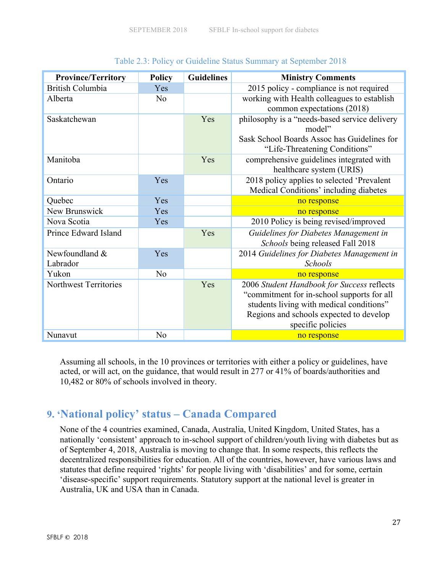| <b>Province/Territory</b>    | <b>Policy</b>  | <b>Guidelines</b> | <b>Ministry Comments</b>                                                                                                                                                                             |
|------------------------------|----------------|-------------------|------------------------------------------------------------------------------------------------------------------------------------------------------------------------------------------------------|
| <b>British Columbia</b>      | Yes            |                   | 2015 policy - compliance is not required                                                                                                                                                             |
| Alberta                      | N <sub>o</sub> |                   | working with Health colleagues to establish                                                                                                                                                          |
|                              |                |                   | common expectations (2018)                                                                                                                                                                           |
| Saskatchewan                 |                | Yes               | philosophy is a "needs-based service delivery<br>model"                                                                                                                                              |
|                              |                |                   | Sask School Boards Assoc has Guidelines for<br>"Life-Threatening Conditions"                                                                                                                         |
| Manitoba                     |                | Yes               | comprehensive guidelines integrated with<br>healthcare system (URIS)                                                                                                                                 |
| Ontario                      | Yes            |                   | 2018 policy applies to selected 'Prevalent                                                                                                                                                           |
|                              |                |                   | Medical Conditions' including diabetes                                                                                                                                                               |
| Quebec                       | Yes            |                   | no response                                                                                                                                                                                          |
| New Brunswick                | Yes            |                   | no response                                                                                                                                                                                          |
| Nova Scotia                  | Yes            |                   | 2010 Policy is being revised/improved                                                                                                                                                                |
| Prince Edward Island         |                | Yes               | Guidelines for Diabetes Management in<br>Schools being released Fall 2018                                                                                                                            |
| Newfoundland &               | Yes            |                   | 2014 Guidelines for Diabetes Management in                                                                                                                                                           |
| Labrador                     |                |                   | <b>Schools</b>                                                                                                                                                                                       |
| Yukon                        | N <sub>o</sub> |                   | no response                                                                                                                                                                                          |
| <b>Northwest Territories</b> |                | Yes               | 2006 Student Handbook for Success reflects<br>"commitment for in-school supports for all<br>students living with medical conditions"<br>Regions and schools expected to develop<br>specific policies |
| Nunavut                      | N <sub>0</sub> |                   | no response                                                                                                                                                                                          |

#### Table 2.3: Policy or Guideline Status Summary at September 2018

Assuming all schools, in the 10 provinces or territories with either a policy or guidelines, have acted, or will act, on the guidance, that would result in 277 or 41% of boards/authorities and 10,482 or 80% of schools involved in theory.

# **9. 'National policy' status – Canada Compared**

None of the 4 countries examined, Canada, Australia, United Kingdom, United States, has a nationally 'consistent' approach to in-school support of children/youth living with diabetes but as of September 4, 2018, Australia is moving to change that. In some respects, this reflects the decentralized responsibilities for education. All of the countries, however, have various laws and statutes that define required 'rights' for people living with 'disabilities' and for some, certain 'disease-specific' support requirements. Statutory support at the national level is greater in Australia, UK and USA than in Canada.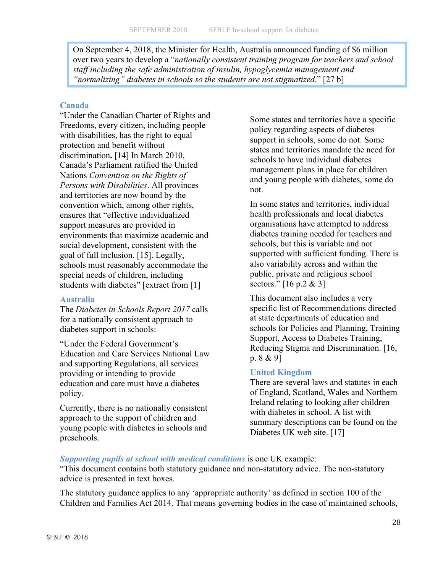On September 4, 2018, the Minister for Health, Australia announced funding of \$6 million over two years to develop a "*nationally consistent training program for teachers and school staff including the safe administration of insulin, hypoglycemia management and "normalizing" diabetes in schools so the students are not stigmatized*." [27 b]

#### **Canada**

"Under the Canadian Charter of Rights and Freedoms, every citizen, including people with disabilities, has the right to equal protection and benefit without discrimination**.** [14] In March 2010, Canada's Parliament ratified the United Nations *Convention on the Rights of Persons with Disabilities*. All provinces and territories are now bound by the convention which, among other rights, ensures that "effective individualized support measures are provided in environments that maximize academic and social development, consistent with the goal of full inclusion. [15]. Legally, schools must reasonably accommodate the special needs of children, including students with diabetes" [extract from [1]

#### **Australia**

The *Diabetes in Schools Report 2017* calls for a nationally consistent approach to diabetes support in schools:

"Under the Federal Government's Education and Care Services National Law and supporting Regulations, all services providing or intending to provide education and care must have a diabetes policy.

Currently, there is no nationally consistent approach to the support of children and young people with diabetes in schools and preschools.

Some states and territories have a specific policy regarding aspects of diabetes support in schools, some do not. Some states and territories mandate the need for schools to have individual diabetes management plans in place for children and young people with diabetes, some do not.

In some states and territories, individual health professionals and local diabetes organisations have attempted to address diabetes training needed for teachers and schools, but this is variable and not supported with sufficient funding. There is also variability across and within the public, private and religious school sectors." [16 p.2 & 3]

This document also includes a very specific list of Recommendations directed at state departments of education and schools for Policies and Planning, Training Support, Access to Diabetes Training, Reducing Stigma and Discrimination. [16, p. 8 & 9]

### **United Kingdom**

There are several laws and statutes in each of England, Scotland, Wales and Northern Ireland relating to looking after children with diabetes in school. A list with summary descriptions can be found on the Diabetes UK web site. [17]

*Supporting pupils at school with medical conditions* is one UK example:

"This document contains both statutory guidance and non-statutory advice. The non-statutory advice is presented in text boxes.

The statutory guidance applies to any 'appropriate authority' as defined in section 100 of the Children and Families Act 2014. That means governing bodies in the case of maintained schools,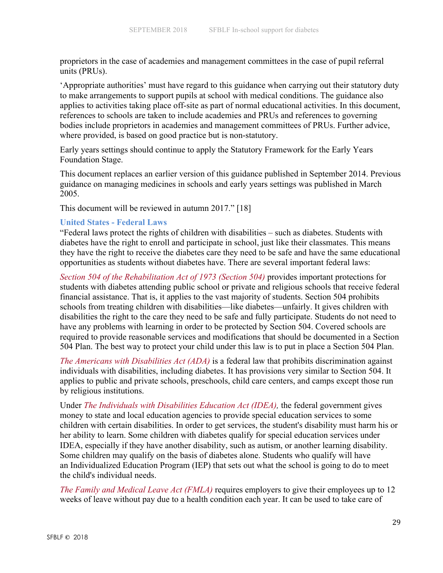proprietors in the case of academies and management committees in the case of pupil referral units (PRUs).

'Appropriate authorities' must have regard to this guidance when carrying out their statutory duty to make arrangements to support pupils at school with medical conditions. The guidance also applies to activities taking place off-site as part of normal educational activities. In this document, references to schools are taken to include academies and PRUs and references to governing bodies include proprietors in academies and management committees of PRUs. Further advice, where provided, is based on good practice but is non-statutory.

Early years settings should continue to apply the Statutory Framework for the Early Years Foundation Stage.

This document replaces an earlier version of this guidance published in September 2014. Previous guidance on managing medicines in schools and early years settings was published in March 2005.

This document will be reviewed in autumn 2017." [18]

#### **United States - Federal Laws**

"Federal laws protect the rights of children with disabilities – such as diabetes. Students with diabetes have the right to enroll and participate in school, just like their classmates. This means they have the right to receive the diabetes care they need to be safe and have the same educational opportunities as students without diabetes have. There are several important federal laws:

*Section 504 of the Rehabilitation Act of 1973 (Section 504)* provides important protections for students with diabetes attending public school or private and religious schools that receive federal financial assistance. That is, it applies to the vast majority of students. Section 504 prohibits schools from treating children with disabilities—like diabetes—unfairly. It gives children with disabilities the right to the care they need to be safe and fully participate. Students do not need to have any problems with learning in order to be protected by Section 504. Covered schools are required to provide reasonable services and modifications that should be documented in a Section 504 Plan. The best way to protect your child under this law is to put in place a Section 504 Plan.

*The Americans with Disabilities Act (ADA)* is a federal law that prohibits discrimination against individuals with disabilities, including diabetes. It has provisions very similar to Section 504. It applies to public and private schools, preschools, child care centers, and camps except those run by religious institutions.

Under *The Individuals with Disabilities Education Act (IDEA),* the federal government gives money to state and local education agencies to provide special education services to some children with certain disabilities. In order to get services, the student's disability must harm his or her ability to learn. Some children with diabetes qualify for special education services under IDEA, especially if they have another disability, such as autism, or another learning disability. Some children may qualify on the basis of diabetes alone. Students who qualify will have an Individualized Education Program (IEP) that sets out what the school is going to do to meet the child's individual needs.

*The Family and Medical Leave Act (FMLA)* requires employers to give their employees up to 12 weeks of leave without pay due to a health condition each year. It can be used to take care of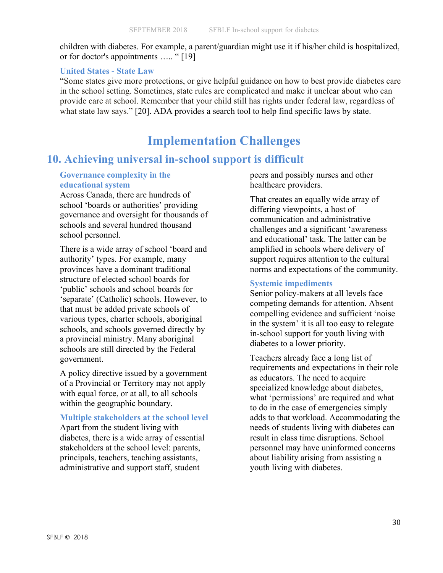children with diabetes. For example, a parent/guardian might use it if his/her child is hospitalized, or for doctor's appointments ….. " [19]

#### **United States - State Law**

"Some states give more protections, or give helpful guidance on how to best provide diabetes care in the school setting. Sometimes, state rules are complicated and make it unclear about who can provide care at school. Remember that your child still has rights under federal law, regardless of what state law says." [20]. ADA provides a search tool to help find specific laws by state.

# **Implementation Challenges**

# **10. Achieving universal in-school support is difficult**

### **Governance complexity in the educational system**

Across Canada, there are hundreds of school 'boards or authorities' providing governance and oversight for thousands of schools and several hundred thousand school personnel.

There is a wide array of school 'board and authority' types. For example, many provinces have a dominant traditional structure of elected school boards for 'public' schools and school boards for 'separate' (Catholic) schools. However, to that must be added private schools of various types, charter schools, aboriginal schools, and schools governed directly by a provincial ministry. Many aboriginal schools are still directed by the Federal government.

A policy directive issued by a government of a Provincial or Territory may not apply with equal force, or at all, to all schools within the geographic boundary.

#### **Multiple stakeholders at the school level**

Apart from the student living with diabetes, there is a wide array of essential stakeholders at the school level: parents, principals, teachers, teaching assistants, administrative and support staff, student

peers and possibly nurses and other healthcare providers.

That creates an equally wide array of differing viewpoints, a host of communication and administrative challenges and a significant 'awareness and educational' task. The latter can be amplified in schools where delivery of support requires attention to the cultural norms and expectations of the community.

#### **Systemic impediments**

Senior policy-makers at all levels face competing demands for attention. Absent compelling evidence and sufficient 'noise in the system' it is all too easy to relegate in-school support for youth living with diabetes to a lower priority.

Teachers already face a long list of requirements and expectations in their role as educators. The need to acquire specialized knowledge about diabetes, what 'permissions' are required and what to do in the case of emergencies simply adds to that workload. Accommodating the needs of students living with diabetes can result in class time disruptions. School personnel may have uninformed concerns about liability arising from assisting a youth living with diabetes.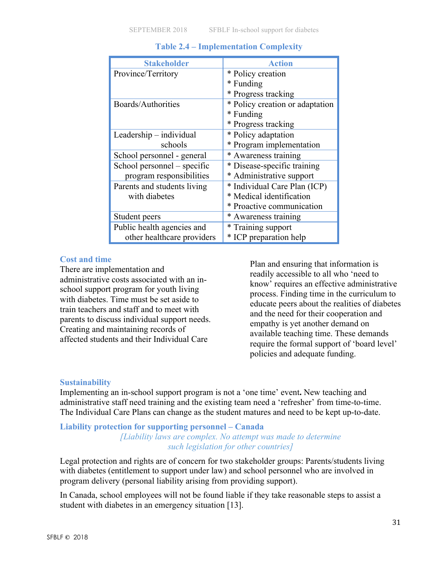| <b>Stakeholder</b>          | <b>Action</b>                   |
|-----------------------------|---------------------------------|
| Province/Territory          | * Policy creation               |
|                             | * Funding                       |
|                             | * Progress tracking             |
| Boards/Authorities          | * Policy creation or adaptation |
|                             | * Funding                       |
|                             | * Progress tracking             |
| Leadership – individual     | * Policy adaptation             |
| schools                     | * Program implementation        |
| School personnel - general  | * Awareness training            |
| School personnel – specific | * Disease-specific training     |
| program responsibilities    | * Administrative support        |
| Parents and students living | * Individual Care Plan (ICP)    |
| with diabetes               | * Medical identification        |
|                             | * Proactive communication       |
| Student peers               | * Awareness training            |
| Public health agencies and  | * Training support              |
| other healthcare providers  | * ICP preparation help          |

### **Table 2.4 – Implementation Complexity**

#### **Cost and time**

There are implementation and administrative costs associated with an inschool support program for youth living with diabetes. Time must be set aside to train teachers and staff and to meet with parents to discuss individual support needs. Creating and maintaining records of affected students and their Individual Care

Plan and ensuring that information is readily accessible to all who 'need to know' requires an effective administrative process. Finding time in the curriculum to educate peers about the realities of diabetes and the need for their cooperation and empathy is yet another demand on available teaching time. These demands require the formal support of 'board level' policies and adequate funding.

### **Sustainability**

Implementing an in-school support program is not a 'one time' event**.** New teaching and administrative staff need training and the existing team need a 'refresher' from time-to-time. The Individual Care Plans can change as the student matures and need to be kept up-to-date.

#### **Liability protection for supporting personnel – Canada** *[Liability laws are complex. No attempt was made to determine such legislation for other countries]*

Legal protection and rights are of concern for two stakeholder groups: Parents/students living with diabetes (entitlement to support under law) and school personnel who are involved in program delivery (personal liability arising from providing support).

In Canada, school employees will not be found liable if they take reasonable steps to assist a student with diabetes in an emergency situation [13].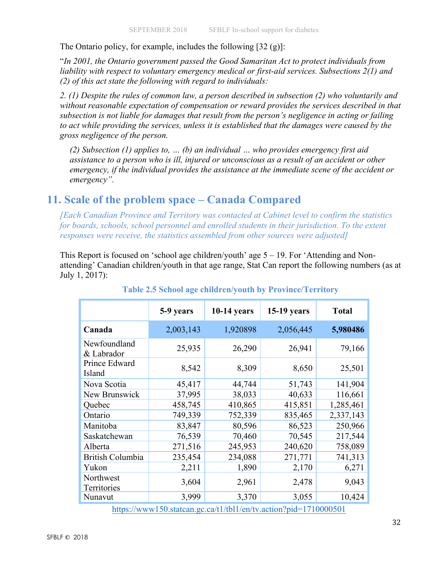The Ontario policy, for example, includes the following [32 (g)]:

"*In 2001, the Ontario government passed the Good Samaritan Act to protect individuals from liability with respect to voluntary emergency medical or first-aid services. Subsections 2(1) and (2) of this act state the following with regard to individuals:*

*2. (1) Despite the rules of common law, a person described in subsection (2) who voluntarily and without reasonable expectation of compensation or reward provides the services described in that subsection is not liable for damages that result from the person's negligence in acting or failing to act while providing the services, unless it is established that the damages were caused by the gross negligence of the person.*

*(2) Subsection (1) applies to, … (b) an individual … who provides emergency first aid assistance to a person who is ill, injured or unconscious as a result of an accident or other emergency, if the individual provides the assistance at the immediate scene of the accident or emergency".*

# **11. Scale of the problem space – Canada Compared**

*[Each Canadian Province and Territory was contacted at Cabinet level to confirm the statistics for boards, schools, school personnel and enrolled students in their jurisdiction. To the extent responses were receive, the statistics assembled from other sources were adjusted]*

This Report is focused on 'school age children/youth' age 5 – 19. For 'Attending and Nonattending' Canadian children/youth in that age range, Stat Can report the following numbers (as at July 1, 2017):

|                            | 5-9 years                                                         | $10-14$ years | <b>15-19 years</b> | <b>Total</b> |  |  |  |
|----------------------------|-------------------------------------------------------------------|---------------|--------------------|--------------|--|--|--|
| Canada                     | 2,003,143                                                         | 1,920898      | 2,056,445          | 5,980486     |  |  |  |
| Newfoundland<br>& Labrador | 25,935                                                            | 26,290        | 26,941             | 79,166       |  |  |  |
| Prince Edward<br>Island    | 8,542                                                             | 8,309         | 8,650              | 25,501       |  |  |  |
| Nova Scotia                | 45,417                                                            | 44,744        | 51,743             | 141,904      |  |  |  |
| New Brunswick              | 37,995                                                            | 38,033        | 40,633             | 116,661      |  |  |  |
| Quebec                     | 458,745                                                           | 410,865       | 415,851            | 1,285,461    |  |  |  |
| Ontario                    | 749,339                                                           | 752,339       | 835,465            | 2,337,143    |  |  |  |
| Manitoba                   | 83,847                                                            | 80,596        | 86,523             | 250,966      |  |  |  |
| Saskatchewan               | 76,539                                                            | 70,460        | 70,545             | 217,544      |  |  |  |
| Alberta                    | 271,516                                                           | 245,953       | 240,620            | 758,089      |  |  |  |
| <b>British Columbia</b>    | 235,454                                                           | 234,088       | 271,771            | 741,313      |  |  |  |
| Yukon                      | 2,211                                                             | 1,890         | 2,170              | 6,271        |  |  |  |
| Northwest<br>Territories   | 3,604                                                             | 2,961         | 2,478              | 9,043        |  |  |  |
| Nunavut                    | 3,999                                                             | 3,370         | 3,055              | 10,424       |  |  |  |
|                            | https://www.150.statean.ge.ca/t1/tbl1/en/ty.action?pid=1710000501 |               |                    |              |  |  |  |

### **Table 2.5 School age children/youth by Province/Territory**

https://www150.statcan.gc.ca/t1/tbl1/en/tv.action?pid=1710000501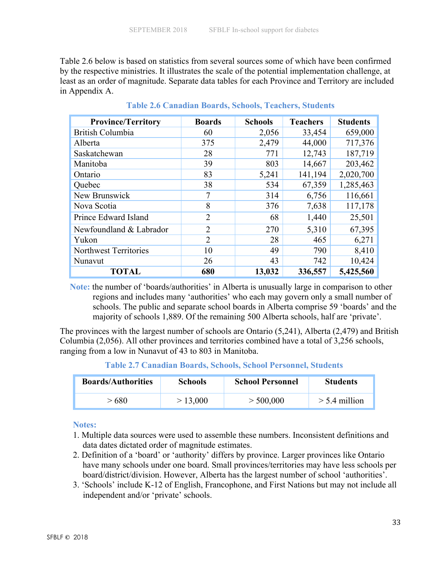Table 2.6 below is based on statistics from several sources some of which have been confirmed by the respective ministries. It illustrates the scale of the potential implementation challenge, at least as an order of magnitude. Separate data tables for each Province and Territory are included in Appendix A.

| <b>Province/Territory</b> | <b>Boards</b>  | <b>Schools</b> | <b>Teachers</b> | <b>Students</b> |
|---------------------------|----------------|----------------|-----------------|-----------------|
| British Columbia          | 60             | 2,056          | 33,454          | 659,000         |
| Alberta                   | 375            | 2,479          | 44,000          | 717,376         |
| Saskatchewan              | 28             | 771            | 12,743          | 187,719         |
| Manitoba                  | 39             | 803            | 14,667          | 203,462         |
| Ontario                   | 83             | 5,241          | 141,194         | 2,020,700       |
| Quebec                    | 38             | 534            | 67,359          | 1,285,463       |
| New Brunswick             | 7              | 314            | 6,756           | 116,661         |
| Nova Scotia               | 8              | 376            | 7,638           | 117,178         |
| Prince Edward Island      | $\overline{2}$ | 68             | 1,440           | 25,501          |
| Newfoundland & Labrador   | $\overline{2}$ | 270            | 5,310           | 67,395          |
| Yukon                     | $\overline{2}$ | 28             | 465             | 6,271           |
| Northwest Territories     | 10             | 49             | 790             | 8,410           |
| Nunavut                   | 26             | 43             | 742             | 10,424          |
| <b>TOTAL</b>              | 680            | 13,032         | 336,557         | 5,425,560       |

**Table 2.6 Canadian Boards, Schools, Teachers, Students**

**Note:** the number of 'boards/authorities' in Alberta is unusually large in comparison to other regions and includes many 'authorities' who each may govern only a small number of schools. The public and separate school boards in Alberta comprise 59 'boards' and the majority of schools 1,889. Of the remaining 500 Alberta schools, half are 'private'.

The provinces with the largest number of schools are Ontario (5,241), Alberta (2,479) and British Columbia (2,056). All other provinces and territories combined have a total of 3,256 schools, ranging from a low in Nunavut of 43 to 803 in Manitoba.

**Table 2.7 Canadian Boards, Schools, School Personnel, Students** 

| <b>Boards/Authorities</b> | <b>Schools</b> | <b>School Personnel</b> | <b>Students</b> |
|---------------------------|----------------|-------------------------|-----------------|
| - 680                     | > 13,000       | > 500,000               | $> 5.4$ million |

#### **Notes:**

- 1. Multiple data sources were used to assemble these numbers. Inconsistent definitions and data dates dictated order of magnitude estimates.
- 2. Definition of a 'board' or 'authority' differs by province. Larger provinces like Ontario have many schools under one board. Small provinces/territories may have less schools per board/district/division. However, Alberta has the largest number of school 'authorities'.
- 3. 'Schools' include K-12 of English, Francophone, and First Nations but may not include all independent and/or 'private' schools.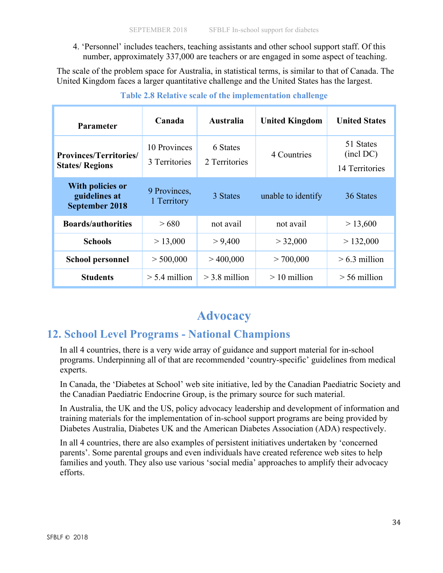4. 'Personnel' includes teachers, teaching assistants and other school support staff. Of this number, approximately 337,000 are teachers or are engaged in some aspect of teaching.

The scale of the problem space for Australia, in statistical terms, is similar to that of Canada. The United Kingdom faces a larger quantitative challenge and the United States has the largest.

| <b>Parameter</b>                                                  | Canada                        | <b>Australia</b>          | <b>United Kingdom</b> | <b>United States</b>                     |
|-------------------------------------------------------------------|-------------------------------|---------------------------|-----------------------|------------------------------------------|
| <b>Provinces/Territories/</b><br><b>States/Regions</b>            | 10 Provinces<br>3 Territories | 6 States<br>2 Territories | 4 Countries           | 51 States<br>(incl DC)<br>14 Territories |
| <b>With policies or</b><br>guidelines at<br><b>September 2018</b> | 9 Provinces,<br>1 Territory   | 3 States                  | unable to identify    | 36 States                                |
| <b>Boards/authorities</b>                                         | >680                          | not avail                 | not avail             | > 13,600                                 |
| <b>Schools</b>                                                    | > 13,000                      | > 9,400                   | > 32,000              | > 132,000                                |
| <b>School personnel</b>                                           | > 500,000                     | >400,000                  | > 700,000             | $> 6.3$ million                          |
| <b>Students</b>                                                   | $> 5.4$ million               | $>$ 3.8 million           | $>10$ million         | $> 56$ million                           |

#### **Table 2.8 Relative scale of the implementation challenge**

# **Advocacy**

# **12. School Level Programs - National Champions**

In all 4 countries, there is a very wide array of guidance and support material for in-school programs. Underpinning all of that are recommended 'country-specific' guidelines from medical experts.

In Canada, the 'Diabetes at School' web site initiative, led by the Canadian Paediatric Society and the Canadian Paediatric Endocrine Group, is the primary source for such material.

In Australia, the UK and the US, policy advocacy leadership and development of information and training materials for the implementation of in-school support programs are being provided by Diabetes Australia, Diabetes UK and the American Diabetes Association (ADA) respectively.

In all 4 countries, there are also examples of persistent initiatives undertaken by 'concerned parents'. Some parental groups and even individuals have created reference web sites to help families and youth. They also use various 'social media' approaches to amplify their advocacy efforts.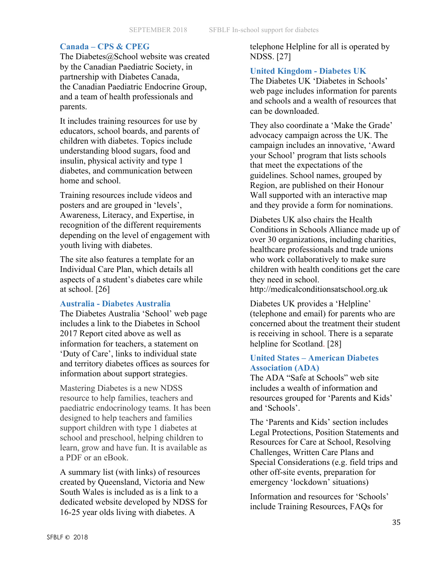#### **Canada – CPS & CPEG**

The Diabetes@School website was created by the Canadian Paediatric Society, in partnership with Diabetes Canada, the Canadian Paediatric Endocrine Group, and a team of health professionals and parents.

It includes training resources for use by educators, school boards, and parents of children with diabetes. Topics include understanding blood sugars, food and insulin, physical activity and type 1 diabetes, and communication between home and school.

Training resources include videos and posters and are grouped in 'levels', Awareness, Literacy, and Expertise, in recognition of the different requirements depending on the level of engagement with youth living with diabetes.

The site also features a template for an Individual Care Plan, which details all aspects of a student's diabetes care while at school. [26]

#### **Australia - Diabetes Australia**

The Diabetes Australia 'School' web page includes a link to the Diabetes in School 2017 Report cited above as well as information for teachers, a statement on 'Duty of Care', links to individual state and territory diabetes offices as sources for information about support strategies.

Mastering Diabetes is a new NDSS resource to help families, teachers and paediatric endocrinology teams. It has been designed to help teachers and families support children with type 1 diabetes at school and preschool, helping children to learn, grow and have fun. It is available as a PDF or an eBook.

A summary list (with links) of resources created by Queensland, Victoria and New South Wales is included as is a link to a dedicated website developed by NDSS for 16-25 year olds living with diabetes. A

telephone Helpline for all is operated by NDSS. [27]

#### **United Kingdom - Diabetes UK**

The Diabetes UK 'Diabetes in Schools' web page includes information for parents and schools and a wealth of resources that can be downloaded.

They also coordinate a 'Make the Grade' advocacy campaign across the UK. The campaign includes an innovative, 'Award your School' program that lists schools that meet the expectations of the guidelines. School names, grouped by Region, are published on their Honour Wall supported with an interactive map and they provide a form for nominations.

Diabetes UK also chairs the Health Conditions in Schools Alliance made up of over 30 organizations, including charities, healthcare professionals and trade unions who work collaboratively to make sure children with health conditions get the care they need in school.

http://medicalconditionsatschool.org.uk

Diabetes UK provides a 'Helpline' (telephone and email) for parents who are concerned about the treatment their student is receiving in school. There is a separate helpline for Scotland. [28]

#### **United States – American Diabetes Association (ADA)**

The ADA "Safe at Schools" web site includes a wealth of information and resources grouped for 'Parents and Kids' and 'Schools'.

The 'Parents and Kids' section includes Legal Protections, Position Statements and Resources for Care at School, Resolving Challenges, Written Care Plans and Special Considerations (e.g. field trips and other off-site events, preparation for emergency 'lockdown' situations)

Information and resources for 'Schools' include Training Resources, FAQs for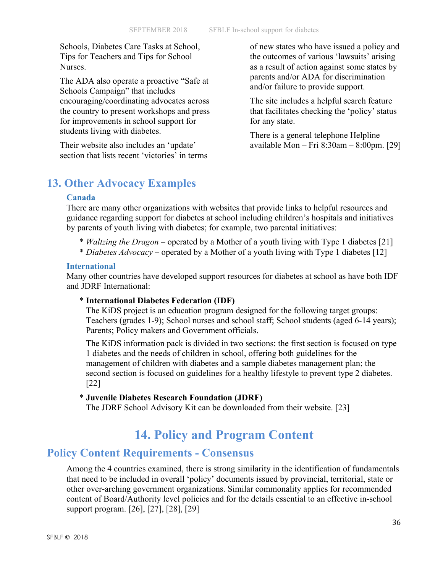Schools, Diabetes Care Tasks at School, Tips for Teachers and Tips for School Nurses.

The ADA also operate a proactive "Safe at Schools Campaign" that includes encouraging/coordinating advocates across the country to present workshops and press for improvements in school support for students living with diabetes.

Their website also includes an 'update' section that lists recent 'victories' in terms of new states who have issued a policy and the outcomes of various 'lawsuits' arising as a result of action against some states by parents and/or ADA for discrimination and/or failure to provide support.

The site includes a helpful search feature that facilitates checking the 'policy' status for any state.

There is a general telephone Helpline available Mon – Fri 8:30am – 8:00pm. [29]

# **13. Other Advocacy Examples**

#### **Canada**

There are many other organizations with websites that provide links to helpful resources and guidance regarding support for diabetes at school including children's hospitals and initiatives by parents of youth living with diabetes; for example, two parental initiatives:

- \* *Waltzing the Dragon* operated by a Mother of a youth living with Type 1 diabetes [21]
- \* *Diabetes Advocacy* operated by a Mother of a youth living with Type 1 diabetes [12]

#### **International**

Many other countries have developed support resources for diabetes at school as have both IDF and JDRF International:

#### \* **International Diabetes Federation (IDF)**

The KiDS project is an education program designed for the following target groups: Teachers (grades 1-9); School nurses and school staff; School students (aged 6-14 years); Parents; Policy makers and Government officials.

The KiDS information pack is divided in two sections: the first section is focused on type 1 diabetes and the needs of children in school, offering both guidelines for the management of children with diabetes and a sample diabetes management plan; the second section is focused on guidelines for a healthy lifestyle to prevent type 2 diabetes. [22]

#### \* **Juvenile Diabetes Research Foundation (JDRF)**

The JDRF School Advisory Kit can be downloaded from their website. [23]

# **14. Policy and Program Content**

# **Policy Content Requirements - Consensus**

Among the 4 countries examined, there is strong similarity in the identification of fundamentals that need to be included in overall 'policy' documents issued by provincial, territorial, state or other over-arching government organizations. Similar commonality applies for recommended content of Board/Authority level policies and for the details essential to an effective in-school support program. [26], [27], [28], [29]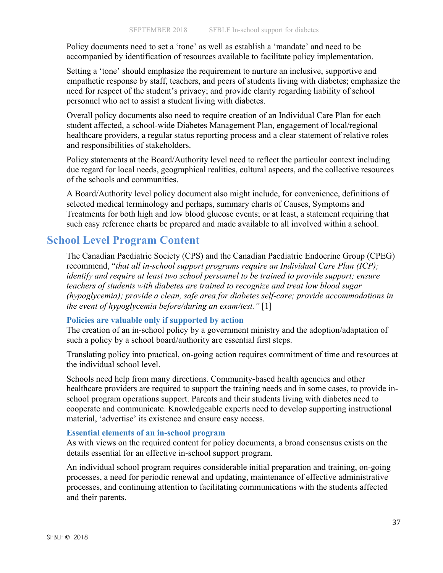Policy documents need to set a 'tone' as well as establish a 'mandate' and need to be accompanied by identification of resources available to facilitate policy implementation.

Setting a 'tone' should emphasize the requirement to nurture an inclusive, supportive and empathetic response by staff, teachers, and peers of students living with diabetes; emphasize the need for respect of the student's privacy; and provide clarity regarding liability of school personnel who act to assist a student living with diabetes.

Overall policy documents also need to require creation of an Individual Care Plan for each student affected, a school-wide Diabetes Management Plan, engagement of local/regional healthcare providers, a regular status reporting process and a clear statement of relative roles and responsibilities of stakeholders.

Policy statements at the Board/Authority level need to reflect the particular context including due regard for local needs, geographical realities, cultural aspects, and the collective resources of the schools and communities.

A Board/Authority level policy document also might include, for convenience, definitions of selected medical terminology and perhaps, summary charts of Causes, Symptoms and Treatments for both high and low blood glucose events; or at least, a statement requiring that such easy reference charts be prepared and made available to all involved within a school.

# **School Level Program Content**

The Canadian Paediatric Society (CPS) and the Canadian Paediatric Endocrine Group (CPEG) recommend, "*that all in-school support programs require an Individual Care Plan (ICP); identify and require at least two school personnel to be trained to provide support; ensure teachers of students with diabetes are trained to recognize and treat low blood sugar (hypoglycemia); provide a clean, safe area for diabetes self-care; provide accommodations in the event of hypoglycemia before/during an exam/test."* [1]

#### **Policies are valuable only if supported by action**

The creation of an in-school policy by a government ministry and the adoption/adaptation of such a policy by a school board/authority are essential first steps.

Translating policy into practical, on-going action requires commitment of time and resources at the individual school level.

Schools need help from many directions. Community-based health agencies and other healthcare providers are required to support the training needs and in some cases, to provide inschool program operations support. Parents and their students living with diabetes need to cooperate and communicate. Knowledgeable experts need to develop supporting instructional material, 'advertise' its existence and ensure easy access.

#### **Essential elements of an in-school program**

As with views on the required content for policy documents, a broad consensus exists on the details essential for an effective in-school support program.

An individual school program requires considerable initial preparation and training, on-going processes, a need for periodic renewal and updating, maintenance of effective administrative processes, and continuing attention to facilitating communications with the students affected and their parents.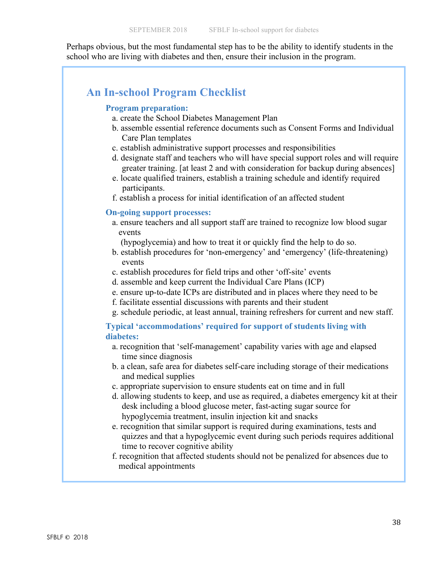Perhaps obvious, but the most fundamental step has to be the ability to identify students in the school who are living with diabetes and then, ensure their inclusion in the program.

# **An In-school Program Checklist**

#### **Program preparation:**

- a. create the School Diabetes Management Plan
- b. assemble essential reference documents such as Consent Forms and Individual Care Plan templates
- c. establish administrative support processes and responsibilities
- d. designate staff and teachers who will have special support roles and will require greater training. [at least 2 and with consideration for backup during absences]
- e. locate qualified trainers, establish a training schedule and identify required participants.
- f. establish a process for initial identification of an affected student

#### **On-going support processes:**

- a. ensure teachers and all support staff are trained to recognize low blood sugar events
	- (hypoglycemia) and how to treat it or quickly find the help to do so.
- b. establish procedures for 'non-emergency' and 'emergency' (life-threatening) events
- c. establish procedures for field trips and other 'off-site' events
- d. assemble and keep current the Individual Care Plans (ICP)
- e. ensure up-to-date ICPs are distributed and in places where they need to be
- f. facilitate essential discussions with parents and their student
- g. schedule periodic, at least annual, training refreshers for current and new staff.

#### **Typical 'accommodations' required for support of students living with diabetes:**

- a. recognition that 'self-management' capability varies with age and elapsed time since diagnosis
- b. a clean, safe area for diabetes self-care including storage of their medications and medical supplies
- c. appropriate supervision to ensure students eat on time and in full
- d. allowing students to keep, and use as required, a diabetes emergency kit at their desk including a blood glucose meter, fast-acting sugar source for hypoglycemia treatment, insulin injection kit and snacks
- e. recognition that similar support is required during examinations, tests and quizzes and that a hypoglycemic event during such periods requires additional time to recover cognitive ability
- f. recognition that affected students should not be penalized for absences due to medical appointments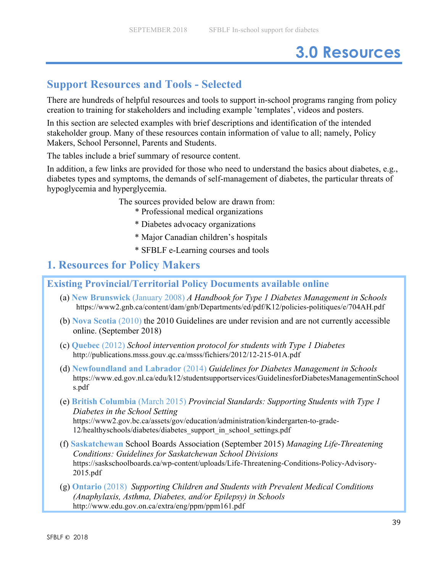# **3.0 Resources**

# **Support Resources and Tools - Selected**

There are hundreds of helpful resources and tools to support in-school programs ranging from policy creation to training for stakeholders and including example 'templates', videos and posters.

In this section are selected examples with brief descriptions and identification of the intended stakeholder group. Many of these resources contain information of value to all; namely, Policy Makers, School Personnel, Parents and Students.

The tables include a brief summary of resource content.

In addition, a few links are provided for those who need to understand the basics about diabetes, e.g., diabetes types and symptoms, the demands of self-management of diabetes, the particular threats of hypoglycemia and hyperglycemia.

The sources provided below are drawn from:

\* Professional medical organizations

- \* Diabetes advocacy organizations
- \* Major Canadian children's hospitals
- \* SFBLF e-Learning courses and tools

# **1. Resources for Policy Makers**

# **Existing Provincial/Territorial Policy Documents available online**

- (a) **New Brunswick** (January 2008) *A Handbook for Type 1 Diabetes Management in Schools* https://www2.gnb.ca/content/dam/gnb/Departments/ed/pdf/K12/policies-politiques/e/704AH.pdf
- (b) **Nova Scotia** (2010) the 2010 Guidelines are under revision and are not currently accessible online. (September 2018)
- (c) **Quebec** (2012) *School intervention protocol for students with Type 1 Diabetes* http://publications.msss.gouv.qc.ca/msss/fichiers/2012/12-215-01A.pdf
- (d) **Newfoundland and Labrador** (2014) *Guidelines for Diabetes Management in Schools* https://www.ed.gov.nl.ca/edu/k12/studentsupportservices/GuidelinesforDiabetesManagementinSchool s.pdf
- (e) **British Columbia** (March 2015) *Provincial Standards: Supporting Students with Type 1 Diabetes in the School Setting*  https://www2.gov.bc.ca/assets/gov/education/administration/kindergarten-to-grade-12/healthyschools/diabetes/diabetes\_support\_in\_school\_settings.pdf
- (f) **Saskatchewan** School Boards Association (September 2015) *Managing Life-Threatening Conditions: Guidelines for Saskatchewan School Divisions* https://saskschoolboards.ca/wp-content/uploads/Life-Threatening-Conditions-Policy-Advisory-2015.pdf
- (g) **Ontario** (2018) *Supporting Children and Students with Prevalent Medical Conditions (Anaphylaxis, Asthma, Diabetes, and/or Epilepsy) in Schools* http://www.edu.gov.on.ca/extra/eng/ppm/ppm161.pdf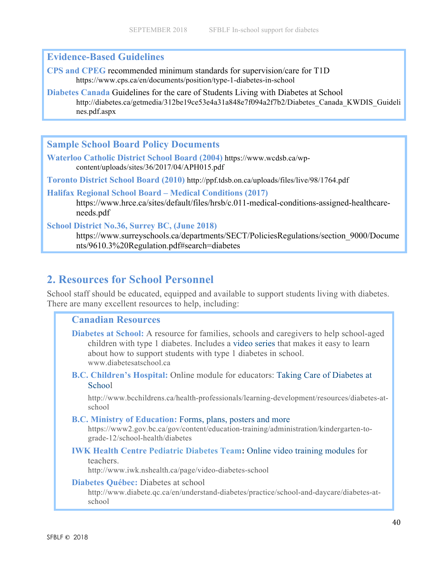# **Evidence-Based Guidelines**

**CPS and CPEG** recommended minimum standards for supervision/care for T1D https://www.cps.ca/en/documents/position/type-1-diabetes-in-school

**Diabetes Canada** Guidelines for the care of Students Living with Diabetes at School http://diabetes.ca/getmedia/312be19ce53e4a31a848e7f094a2f7b2/Diabetes\_Canada\_KWDIS\_Guideli nes.pdf.aspx

**Sample School Board Policy Documents**

**Waterloo Catholic District School Board (2004)** https://www.wcdsb.ca/wpcontent/uploads/sites/36/2017/04/APH015.pdf

**Toronto District School Board (2010)** http://ppf.tdsb.on.ca/uploads/files/live/98/1764.pdf

**Halifax Regional School Board – Medical Conditions (2017)**

https://www.hrce.ca/sites/default/files/hrsb/c.011-medical-conditions-assigned-healthcareneeds.pdf

**School District No.36, Surrey BC, (June 2018)**

https://www.surreyschools.ca/departments/SECT/PoliciesRegulations/section\_9000/Docume nts/9610.3%20Regulation.pdf#search=diabetes

# **2. Resources for School Personnel**

School staff should be educated, equipped and available to support students living with diabetes. There are many excellent resources to help, including:

### **Canadian Resources**

**Diabetes at School:** A resource for families, schools and caregivers to help school-aged children with type 1 diabetes. Includes a video series that makes it easy to learn about how to support students with type 1 diabetes in school. www.diabetesatschool.ca

**B.C. Children's Hospital:** Online module for educators: Taking Care of Diabetes at **School** 

http://www.bcchildrens.ca/health-professionals/learning-development/resources/diabetes-atschool

#### **B.C. Ministry of Education:** Forms, plans, posters and more

https://www2.gov.bc.ca/gov/content/education-training/administration/kindergarten-tograde-12/school-health/diabetes

# **IWK Health Centre Pediatric Diabetes Team:** Online video training modules for

teachers.

http://www.iwk.nshealth.ca/page/video-diabetes-school

#### **Diabetes Québec:** Diabetes at school

http://www.diabete.qc.ca/en/understand-diabetes/practice/school-and-daycare/diabetes-atschool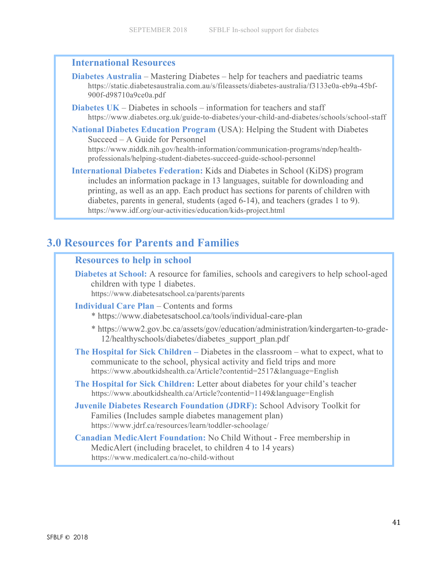### **International Resources**

- **Diabetes Australia** Mastering Diabetes help for teachers and paediatric teams https://static.diabetesaustralia.com.au/s/fileassets/diabetes-australia/f3133e0a-eb9a-45bf-900f-d98710a9ce0a.pdf
- **Diabetes UK** Diabetes in schools information for teachers and staff https://www.diabetes.org.uk/guide-to-diabetes/your-child-and-diabetes/schools/school-staff
- **National Diabetes Education Program** (USA): Helping the Student with Diabetes Succeed – A Guide for Personnel

https://www.niddk.nih.gov/health-information/communication-programs/ndep/healthprofessionals/helping-student-diabetes-succeed-guide-school-personnel

**International Diabetes Federation:** Kids and Diabetes in School (KiDS) program includes an information package in 13 languages, suitable for downloading and printing, as well as an app. Each product has sections for parents of children with diabetes, parents in general, students (aged 6-14), and teachers (grades 1 to 9). https://www.idf.org/our-activities/education/kids-project.html

# **3.0 Resources for Parents and Families**

| <b>Resources to help in school</b> |
|------------------------------------|
|------------------------------------|

**Diabetes at School:** A resource for families, schools and caregivers to help school-aged children with type 1 diabetes. https://www.diabetesatschool.ca/parents/parents

- **Individual Care Plan** Contents and forms
	- \* https://www.diabetesatschool.ca/tools/individual-care-plan
	- \* https://www2.gov.bc.ca/assets/gov/education/administration/kindergarten-to-grade-12/healthyschools/diabetes/diabetes\_support\_plan.pdf
- **The Hospital for Sick Children –** Diabetes in the classroom what to expect, what to communicate to the school, physical activity and field trips and more https://www.aboutkidshealth.ca/Article?contentid=2517&language=English
- **The Hospital for Sick Children:** Letter about diabetes for your child's teacher https://www.aboutkidshealth.ca/Article?contentid=1149&language=English
- **Juvenile Diabetes Research Foundation (JDRF):** School Advisory Toolkit for Families (Includes sample diabetes management plan) https://www.jdrf.ca/resources/learn/toddler-schoolage/

**Canadian MedicAlert Foundation:** No Child Without - Free membership in MedicAlert (including bracelet, to children 4 to 14 years) https://www.medicalert.ca/no-child-without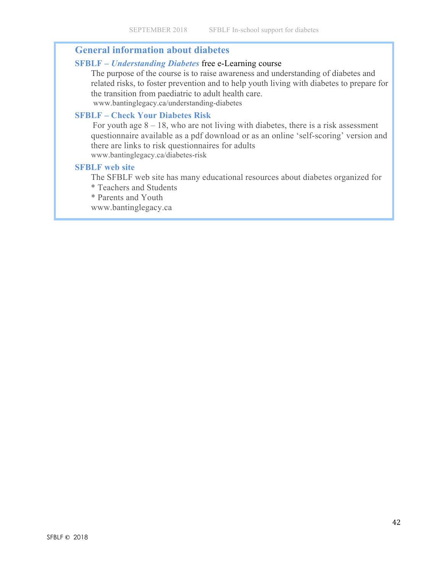### **General information about diabetes**

#### **SFBLF –** *Understanding Diabetes* free e-Learning course

The purpose of the course is to raise awareness and understanding of diabetes and related risks, to foster prevention and to help youth living with diabetes to prepare for the transition from paediatric to adult health care. www.bantinglegacy.ca/understanding-diabetes

#### **SFBLF – Check Your Diabetes Risk**

For youth age  $8 - 18$ , who are not living with diabetes, there is a risk assessment questionnaire available as a pdf download or as an online 'self-scoring' version and there are links to risk questionnaires for adults www.bantinglegacy.ca/diabetes-risk

#### **SFBLF web site**

The SFBLF web site has many educational resources about diabetes organized for \* Teachers and Students

\* Parents and Youth

www.bantinglegacy.ca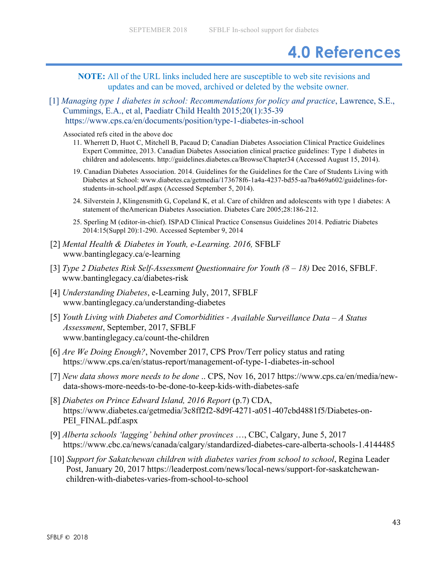# **4.0 References**

**NOTE:** All of the URL links included here are susceptible to web site revisions and updates and can be moved, archived or deleted by the website owner.

[1] *Managing type 1 diabetes in school: Recommendations for policy and practice*, Lawrence, S.E., Cummings, E.A., et al, Paediatr Child Health 2015;20(1):35-39 https://www.cps.ca/en/documents/position/type-1-diabetes-in-school

Associated refs cited in the above doc

- 11. Wherrett D, Huot C, Mitchell B, Pacaud D; Canadian Diabetes Association Clinical Practice Guidelines Expert Committee, 2013. Canadian Diabetes Association clinical practice guidelines: Type 1 diabetes in children and adolescents. http://guidelines.diabetes.ca/Browse/Chapter34 (Accessed August 15, 2014).
- 19. Canadian Diabetes Association. 2014. Guidelines for the Guidelines for the Care of Students Living with Diabetes at School: www.diabetes.ca/getmedia/173678f6-1a4a-4237-bd55-aa7ba469a602/guidelines-forstudents-in-school.pdf.aspx (Accessed September 5, 2014).
- 24. Silverstein J, Klingensmith G, Copeland K, et al. Care of children and adolescents with type 1 diabetes: A statement of theAmerican Diabetes Association. Diabetes Care 2005;28:186-212.
- 25. Sperling M (editor-in-chief). ISPAD Clinical Practice Consensus Guidelines 2014. Pediatric Diabetes 2014:15(Suppl 20):1-290. Accessed September 9, 2014
- [2] *Mental Health & Diabetes in Youth, e-Learning. 2016,* SFBLF www.bantinglegacy.ca/e-learning
- [3] *Type 2 Diabetes Risk Self-Assessment Questionnaire for Youth (8 – 18)* Dec 2016, SFBLF. www.bantinglegacy.ca/diabetes-risk
- [4] *Understanding Diabetes*, e-Learning July, 2017, SFBLF www.bantinglegacy.ca/understanding-diabetes
- [5] *Youth Living with Diabetes and Comorbidities - Available Surveillance Data – A Status Assessment*, September, 2017, SFBLF www.bantinglegacy.ca/count-the-children
- [6] *Are We Doing Enough?*, November 2017, CPS Prov/Terr policy status and rating https://www.cps.ca/en/status-report/management-of-type-1-diabetes-in-school
- [7] *New data shows more needs to be done* .. CPS, Nov 16, 2017 https://www.cps.ca/en/media/newdata-shows-more-needs-to-be-done-to-keep-kids-with-diabetes-safe
- [8] *Diabetes on Prince Edward Island, 2016 Report* (p.7) CDA, https://www.diabetes.ca/getmedia/3c8ff2f2-8d9f-4271-a051-407cbd4881f5/Diabetes-on-PEI\_FINAL.pdf.aspx
- [9] *Alberta schools 'lagging' behind other provinces* …, CBC, Calgary, June 5, 2017 https://www.cbc.ca/news/canada/calgary/standardized-diabetes-care-alberta-schools-1.4144485
- [10] *Support for Sakatchewan children with diabetes varies from school to school*, Regina Leader Post, January 20, 2017 https://leaderpost.com/news/local-news/support-for-saskatchewanchildren-with-diabetes-varies-from-school-to-school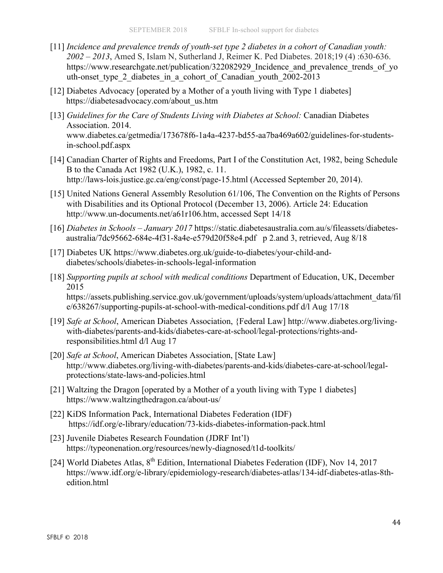- [11] *Incidence and prevalence trends of youth-set type 2 diabetes in a cohort of Canadian youth: 2002 – 2013*, Amed S, Islam N, Sutherland J, Reimer K. Ped Diabetes. 2018;19 (4) :630-636. https://www.researchgate.net/publication/322082929 Incidence and prevalence trends of yo uth-onset type 2 diabetes in a cohort of Canadian youth 2002-2013
- [12] Diabetes Advocacy [operated by a Mother of a youth living with Type 1 diabetes] https://diabetesadvocacy.com/about\_us.htm
- [13] *Guidelines for the Care of Students Living with Diabetes at School:* Canadian Diabetes Association. 2014. www.diabetes.ca/getmedia/173678f6-1a4a-4237-bd55-aa7ba469a602/guidelines-for-studentsin-school.pdf.aspx
- [14] Canadian Charter of Rights and Freedoms, Part I of the Constitution Act, 1982, being Schedule B to the Canada Act 1982 (U.K.), 1982, c. 11. http://laws-lois.justice.gc.ca/eng/const/page-15.html (Accessed September 20, 2014).
- [15] United Nations General Assembly Resolution 61/106, The Convention on the Rights of Persons with Disabilities and its Optional Protocol (December 13, 2006). Article 24: Education http://www.un-documents.net/a61r106.htm, accessed Sept 14/18
- [16] *Diabetes in Schools – January 2017* https://static.diabetesaustralia.com.au/s/fileassets/diabetesaustralia/7dc95662-684e-4f31-8a4e-e579d20f58e4.pdf p 2.and 3, retrieved, Aug 8/18
- [17] Diabetes UK https://www.diabetes.org.uk/guide-to-diabetes/your-child-anddiabetes/schools/diabetes-in-schools-legal-information
- [18] *Supporting pupils at school with medical conditions* Department of Education, UK, December 2015

https://assets.publishing.service.gov.uk/government/uploads/system/uploads/attachment\_data/fil e/638267/supporting-pupils-at-school-with-medical-conditions.pdf d/l Aug 17/18

- [19] *Safe at School*, American Diabetes Association, {Federal Law] http://www.diabetes.org/livingwith-diabetes/parents-and-kids/diabetes-care-at-school/legal-protections/rights-andresponsibilities.html d/l Aug 17
- [20] *Safe at School*, American Diabetes Association, [State Law] http://www.diabetes.org/living-with-diabetes/parents-and-kids/diabetes-care-at-school/legalprotections/state-laws-and-policies.html
- [21] Waltzing the Dragon [operated by a Mother of a youth living with Type 1 diabetes] https://www.waltzingthedragon.ca/about-us/
- [22] KiDS Information Pack, International Diabetes Federation (IDF) https://idf.org/e-library/education/73-kids-diabetes-information-pack.html
- [23] Juvenile Diabetes Research Foundation (JDRF Int'l) https://typeonenation.org/resources/newly-diagnosed/t1d-toolkits/
- [24] World Diabetes Atlas, 8<sup>th</sup> Edition, International Diabetes Federation (IDF), Nov 14, 2017 https://www.idf.org/e-library/epidemiology-research/diabetes-atlas/134-idf-diabetes-atlas-8thedition.html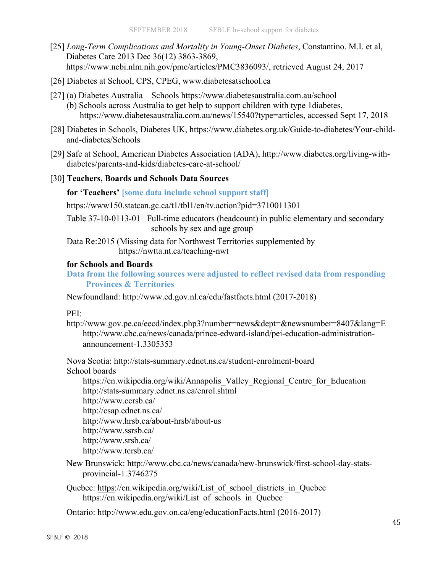- [25] *Long-Term Complications and Mortality in Young-Onset Diabetes*, Constantino. M.I. et al, Diabetes Care 2013 Dec 36(12) 3863-3869, https://www.ncbi.nlm.nih.gov/pmc/articles/PMC3836093/, retrieved August 24, 2017
- [26] Diabetes at School, CPS, CPEG, www.diabetesatschool.ca
- [27] (a) Diabetes Australia Schools https://www.diabetesaustralia.com.au/school (b) Schools across Australia to get help to support children with type 1diabetes, https://www.diabetesaustralia.com.au/news/15540?type=articles, accessed Sept 17, 2018
- [28] Diabetes in Schools, Diabetes UK, https://www.diabetes.org.uk/Guide-to-diabetes/Your-childand-diabetes/Schools
- [29] Safe at School, American Diabetes Association (ADA), http://www.diabetes.org/living-withdiabetes/parents-and-kids/diabetes-care-at-school/
- [30] **Teachers, Boards and Schools Data Sources**

#### **for 'Teachers' [some data include school support staff]**

https://www150.statcan.gc.ca/t1/tbl1/en/tv.action?pid=3710011301

Table 37-10-0113-01 Full-time educators (headcount) in public elementary and secondary schools by sex and age group

Data Re:2015 (Missing data for Northwest Territories supplemented by https://nwtta.nt.ca/teaching-nwt

#### **for Schools and Boards**

**Data from the following sources were adjusted to reflect revised data from responding Provinces & Territories**

Newfoundland: http://www.ed.gov.nl.ca/edu/fastfacts.html (2017-2018)

#### PEI:

http://www.gov.pe.ca/eecd/index.php3?number=news&dept=&newsnumber=8407&lang=E http://www.cbc.ca/news/canada/prince-edward-island/pei-education-administrationannouncement-1.3305353

Nova Scotia: http://stats-summary.ednet.ns.ca/student-enrolment-board

School boards

https://en.wikipedia.org/wiki/Annapolis\_Valley\_Regional\_Centre\_for\_Education http://stats-summary.ednet.ns.ca/enrol.shtml

- http://www.ccrsb.ca/
- http://csap.ednet.ns.ca/

http://www.hrsb.ca/about-hrsb/about-us

- http://www.ssrsb.ca/
- http://www.srsb.ca/

http://www.tcrsb.ca/

New Brunswick: http://www.cbc.ca/news/canada/new-brunswick/first-school-day-statsprovincial-1.3746275

Quebec: https://en.wikipedia.org/wiki/List\_of\_school\_districts\_in\_Quebec https://en.wikipedia.org/wiki/List\_of\_schools\_in\_Quebec

Ontario: http://www.edu.gov.on.ca/eng/educationFacts.html (2016-2017)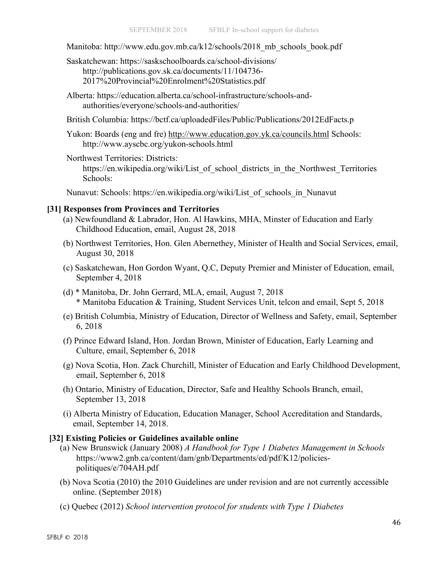Manitoba: http://www.edu.gov.mb.ca/k12/schools/2018\_mb\_schools\_book.pdf

Saskatchewan: https://saskschoolboards.ca/school-divisions/ http://publications.gov.sk.ca/documents/11/104736- 2017%20Provincial%20Enrolment%20Statistics.pdf

- Alberta: https://education.alberta.ca/school-infrastructure/schools-andauthorities/everyone/schools-and-authorities/
- British Columbia: https://bctf.ca/uploadedFiles/Public/Publications/2012EdFacts.p

Yukon: Boards (eng and fre) http://www.education.gov.yk.ca/councils.html Schools: http://www.ayscbc.org/yukon-schools.html

Northwest Territories: Districts: https://en.wikipedia.org/wiki/List\_of\_school\_districts\_in\_the\_Northwest\_Territories Schools:

Nunavut: Schools: https://en.wikipedia.org/wiki/List\_of\_schools\_in\_Nunavut

#### **[31] Responses from Provinces and Territories**

- (a) Newfoundland & Labrador, Hon. Al Hawkins, MHA, Minster of Education and Early Childhood Education, email, August 28, 2018
- (b) Northwest Territories, Hon. Glen Abernethey, Minister of Health and Social Services, email, August 30, 2018
- (c) Saskatchewan, Hon Gordon Wyant, Q.C, Deputy Premier and Minister of Education, email, September 4, 2018
- (d) \* Manitoba, Dr. John Gerrard, MLA, email, August 7, 2018 \* Manitoba Education & Training, Student Services Unit, telcon and email, Sept 5, 2018
- (e) British Columbia, Ministry of Education, Director of Wellness and Safety, email, September 6, 2018
- (f) Prince Edward Island, Hon. Jordan Brown, Minister of Education, Early Learning and Culture, email, September 6, 2018
- (g) Nova Scotia, Hon. Zack Churchill, Minister of Education and Early Childhood Development, email, September 6, 2018
- (h) Ontario, Ministry of Education, Director, Safe and Healthy Schools Branch, email, September 13, 2018
- (i) Alberta Ministry of Education, Education Manager, School Accreditation and Standards, email, September 14, 2018.

#### **[32] Existing Policies or Guidelines available online**

- (a) New Brunswick (January 2008) *A Handbook for Type 1 Diabetes Management in Schools* https://www2.gnb.ca/content/dam/gnb/Departments/ed/pdf/K12/policiespolitiques/e/704AH.pdf
- (b) Nova Scotia (2010) the 2010 Guidelines are under revision and are not currently accessible online. (September 2018)
- (c) Quebec (2012) *School intervention protocol for students with Type 1 Diabetes*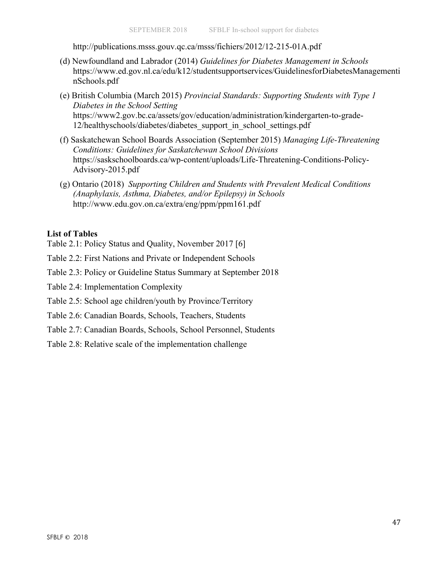http://publications.msss.gouv.qc.ca/msss/fichiers/2012/12-215-01A.pdf

- (d) Newfoundland and Labrador (2014) *Guidelines for Diabetes Management in Schools* https://www.ed.gov.nl.ca/edu/k12/studentsupportservices/GuidelinesforDiabetesManagementi nSchools.pdf
- (e) British Columbia (March 2015) *Provincial Standards: Supporting Students with Type 1 Diabetes in the School Setting*  https://www2.gov.bc.ca/assets/gov/education/administration/kindergarten-to-grade-12/healthyschools/diabetes/diabetes\_support\_in\_school\_settings.pdf
- (f) Saskatchewan School Boards Association (September 2015) *Managing Life-Threatening Conditions: Guidelines for Saskatchewan School Divisions* https://saskschoolboards.ca/wp-content/uploads/Life-Threatening-Conditions-Policy-Advisory-2015.pdf
- (g) Ontario (2018) *Supporting Children and Students with Prevalent Medical Conditions (Anaphylaxis, Asthma, Diabetes, and/or Epilepsy) in Schools* http://www.edu.gov.on.ca/extra/eng/ppm/ppm161.pdf

#### **List of Tables**

- Table 2.1: Policy Status and Quality, November 2017 [6]
- Table 2.2: First Nations and Private or Independent Schools
- Table 2.3: Policy or Guideline Status Summary at September 2018
- Table 2.4: Implementation Complexity
- Table 2.5: School age children/youth by Province/Territory
- Table 2.6: Canadian Boards, Schools, Teachers, Students
- Table 2.7: Canadian Boards, Schools, School Personnel, Students
- Table 2.8: Relative scale of the implementation challenge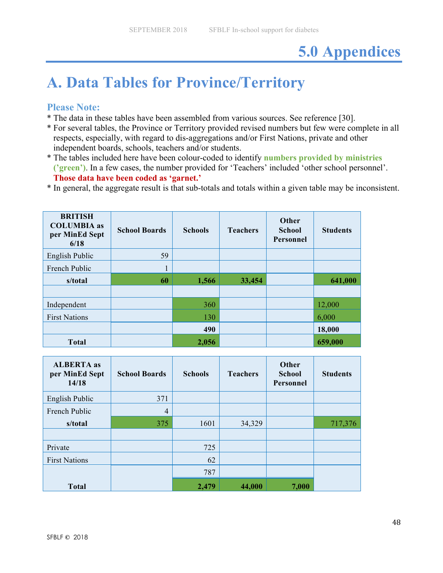# **5.0 Appendices**

# **A. Data Tables for Province/Territory**

## **Please Note:**

- \* The data in these tables have been assembled from various sources. See reference [30].
- \* For several tables, the Province or Territory provided revised numbers but few were complete in all respects, especially, with regard to dis-aggregations and/or First Nations, private and other independent boards, schools, teachers and/or students.
- \* The tables included here have been colour-coded to identify **numbers provided by ministries ('green')**. In a few cases, the number provided for 'Teachers' included 'other school personnel'. **Those data have been coded as 'garnet.'**
- \* In general, the aggregate result is that sub-totals and totals within a given table may be inconsistent.

| <b>BRITISH</b><br><b>COLUMBIA</b> as<br>per MinEd Sept<br>6/18 | <b>School Boards</b> | <b>Schools</b> | <b>Teachers</b> | Other<br><b>School</b><br><b>Personnel</b> | <b>Students</b> |
|----------------------------------------------------------------|----------------------|----------------|-----------------|--------------------------------------------|-----------------|
| English Public                                                 | 59                   |                |                 |                                            |                 |
| French Public                                                  |                      |                |                 |                                            |                 |
| s/total                                                        | 60                   | 1,566          | 33,454          |                                            | 641,000         |
|                                                                |                      |                |                 |                                            |                 |
| Independent                                                    |                      | 360            |                 |                                            | 12,000          |
| <b>First Nations</b>                                           |                      | 130            |                 |                                            | 6,000           |
|                                                                |                      | 490            |                 |                                            | 18,000          |
| <b>Total</b>                                                   |                      | 2,056          |                 |                                            | 659,000         |

| <b>ALBERTA</b> as<br>per MinEd Sept<br>14/18 | <b>School Boards</b> | <b>Schools</b> | <b>Teachers</b> | Other<br><b>School</b><br>Personnel | <b>Students</b> |
|----------------------------------------------|----------------------|----------------|-----------------|-------------------------------------|-----------------|
| English Public                               | 371                  |                |                 |                                     |                 |
| French Public                                | $\overline{4}$       |                |                 |                                     |                 |
| s/total                                      | 375                  | 1601           | 34,329          |                                     | 717,376         |
|                                              |                      |                |                 |                                     |                 |
| Private                                      |                      | 725            |                 |                                     |                 |
| <b>First Nations</b>                         |                      | 62             |                 |                                     |                 |
|                                              |                      | 787            |                 |                                     |                 |
| <b>Total</b>                                 |                      | 2,479          | 44,000          | 7,000                               |                 |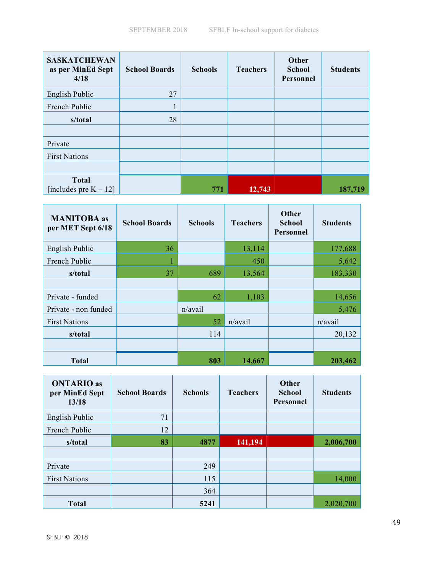| <b>SASKATCHEWAN</b><br>as per MinEd Sept<br>4/18 | <b>School Boards</b> | <b>Schools</b> | <b>Teachers</b> | Other<br><b>School</b><br>Personnel | <b>Students</b> |
|--------------------------------------------------|----------------------|----------------|-----------------|-------------------------------------|-----------------|
| English Public                                   | 27                   |                |                 |                                     |                 |
| French Public                                    |                      |                |                 |                                     |                 |
| s/total                                          | 28                   |                |                 |                                     |                 |
|                                                  |                      |                |                 |                                     |                 |
| Private                                          |                      |                |                 |                                     |                 |
| <b>First Nations</b>                             |                      |                |                 |                                     |                 |
|                                                  |                      |                |                 |                                     |                 |
| <b>Total</b>                                     |                      |                |                 |                                     |                 |
| [includes pre $K - 12$ ]                         |                      | 771            | 12,743          |                                     | 187,719         |

| <b>MANITOBA</b> as<br>per MET Sept 6/18 | <b>School Boards</b> | <b>Schools</b> | <b>Teachers</b> | Other<br><b>School</b><br>Personnel | <b>Students</b> |
|-----------------------------------------|----------------------|----------------|-----------------|-------------------------------------|-----------------|
| English Public                          | 36                   |                | 13,114          |                                     | 177,688         |
| French Public                           | 1                    |                | 450             |                                     | 5,642           |
| s/total                                 | 37                   | 689            | 13,564          |                                     | 183,330         |
|                                         |                      |                |                 |                                     |                 |
| Private - funded                        |                      | 62             | 1,103           |                                     | 14,656          |
| Private - non funded                    |                      | n/avail        |                 |                                     | 5,476           |
| <b>First Nations</b>                    |                      | 52             | n/avail         |                                     | n/avail         |
| s/total                                 |                      | 114            |                 |                                     | 20,132          |
|                                         |                      |                |                 |                                     |                 |
| <b>Total</b>                            |                      | 803            | 14,667          |                                     | 203,462         |

| <b>ONTARIO</b> as<br>per MinEd Sept<br>13/18 | <b>School Boards</b> | <b>Schools</b> | <b>Teachers</b> | <b>Other</b><br><b>School</b><br>Personnel | <b>Students</b> |
|----------------------------------------------|----------------------|----------------|-----------------|--------------------------------------------|-----------------|
| English Public                               | 71                   |                |                 |                                            |                 |
| French Public                                | 12                   |                |                 |                                            |                 |
| s/total                                      | 83                   | 4877           | 141,194         |                                            | 2,006,700       |
|                                              |                      |                |                 |                                            |                 |
| Private                                      |                      | 249            |                 |                                            |                 |
| <b>First Nations</b>                         |                      | 115            |                 |                                            | 14,000          |
|                                              |                      | 364            |                 |                                            |                 |
| <b>Total</b>                                 |                      | 5241           |                 |                                            | 2,020,700       |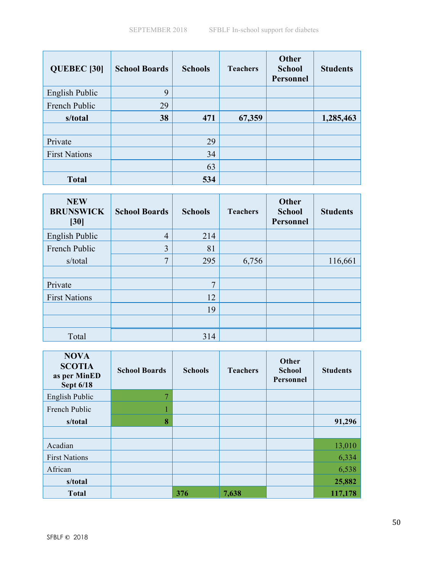| <b>QUEBEC [30]</b>   | <b>School Boards</b> | <b>Schools</b> | <b>Teachers</b> | <b>Other</b><br><b>School</b><br>Personnel | <b>Students</b> |
|----------------------|----------------------|----------------|-----------------|--------------------------------------------|-----------------|
| English Public       | 9                    |                |                 |                                            |                 |
| French Public        | 29                   |                |                 |                                            |                 |
| s/total              | 38                   | 471            | 67,359          |                                            | 1,285,463       |
|                      |                      |                |                 |                                            |                 |
| Private              |                      | 29             |                 |                                            |                 |
| <b>First Nations</b> |                      | 34             |                 |                                            |                 |
|                      |                      | 63             |                 |                                            |                 |
| <b>Total</b>         |                      | 534            |                 |                                            |                 |

| <b>NEW</b><br><b>BRUNSWICK</b><br>[30] | <b>School Boards</b> | <b>Schools</b> | <b>Teachers</b> | <b>Other</b><br><b>School</b><br>Personnel | <b>Students</b> |
|----------------------------------------|----------------------|----------------|-----------------|--------------------------------------------|-----------------|
| English Public                         | $\overline{4}$       | 214            |                 |                                            |                 |
| French Public                          | 3                    | 81             |                 |                                            |                 |
| s/total                                | $\mathbf{z}$         | 295            | 6,756           |                                            | 116,661         |
|                                        |                      |                |                 |                                            |                 |
| Private                                |                      | $\mathcal{I}$  |                 |                                            |                 |
| <b>First Nations</b>                   |                      | 12             |                 |                                            |                 |
|                                        |                      | 19             |                 |                                            |                 |
|                                        |                      |                |                 |                                            |                 |
| Total                                  |                      | 314            |                 |                                            |                 |

| <b>NOVA</b><br><b>SCOTIA</b><br>as per MinED<br>Sept 6/18 | <b>School Boards</b> | <b>Schools</b> | <b>Teachers</b> | Other<br><b>School</b><br>Personnel | <b>Students</b> |
|-----------------------------------------------------------|----------------------|----------------|-----------------|-------------------------------------|-----------------|
| English Public                                            | 7                    |                |                 |                                     |                 |
| French Public                                             |                      |                |                 |                                     |                 |
| s/total                                                   | 8                    |                |                 |                                     | 91,296          |
|                                                           |                      |                |                 |                                     |                 |
| Acadian                                                   |                      |                |                 |                                     | 13,010          |
| <b>First Nations</b>                                      |                      |                |                 |                                     | 6,334           |
| African                                                   |                      |                |                 |                                     | 6,538           |
| s/total                                                   |                      |                |                 |                                     | 25,882          |
| <b>Total</b>                                              |                      | 376            | 7,638           |                                     | 117,178         |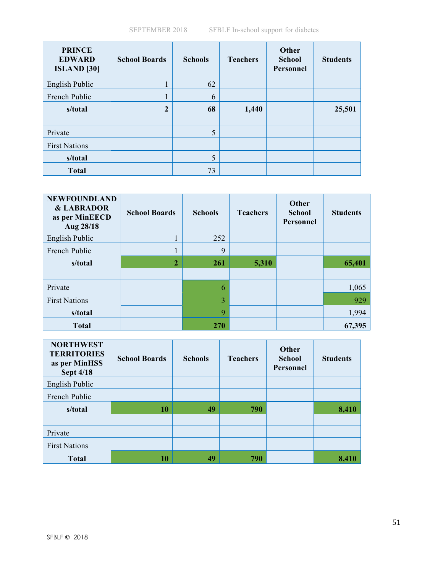| <b>PRINCE</b><br><b>EDWARD</b><br><b>ISLAND</b> [30] | <b>School Boards</b> | <b>Schools</b> | <b>Teachers</b> | Other<br><b>School</b><br>Personnel | <b>Students</b> |
|------------------------------------------------------|----------------------|----------------|-----------------|-------------------------------------|-----------------|
| English Public                                       |                      | 62             |                 |                                     |                 |
| French Public                                        |                      | 6              |                 |                                     |                 |
| s/total                                              | $\overline{2}$       | 68             | 1,440           |                                     | 25,501          |
|                                                      |                      |                |                 |                                     |                 |
| Private                                              |                      | 5              |                 |                                     |                 |
| <b>First Nations</b>                                 |                      |                |                 |                                     |                 |
| s/total                                              |                      | 5              |                 |                                     |                 |
| <b>Total</b>                                         |                      | 73             |                 |                                     |                 |

| <b>NEWFOUNDLAND</b><br><b>&amp; LABRADOR</b><br>as per MinEECD<br>Aug 28/18 | <b>School Boards</b> | <b>Schools</b> | <b>Teachers</b> | Other<br><b>School</b><br>Personnel | <b>Students</b> |
|-----------------------------------------------------------------------------|----------------------|----------------|-----------------|-------------------------------------|-----------------|
| English Public                                                              |                      | 252            |                 |                                     |                 |
| French Public                                                               | T                    | 9              |                 |                                     |                 |
| s/total                                                                     | $\overline{2}$       | <b>261</b>     | 5,310           |                                     | 65,401          |
|                                                                             |                      |                |                 |                                     |                 |
| Private                                                                     |                      | 6              |                 |                                     | 1,065           |
| <b>First Nations</b>                                                        |                      | 3              |                 |                                     | 929             |
| s/total                                                                     |                      | 9              |                 |                                     | 1,994           |
| <b>Total</b>                                                                |                      | <b>270</b>     |                 |                                     | 67,395          |

| <b>NORTHWEST</b><br><b>TERRITORIES</b><br>as per MinHSS<br><b>Sept 4/18</b> | <b>School Boards</b> | <b>Schools</b> | <b>Teachers</b> | Other<br><b>School</b><br><b>Personnel</b> | <b>Students</b> |
|-----------------------------------------------------------------------------|----------------------|----------------|-----------------|--------------------------------------------|-----------------|
| English Public                                                              |                      |                |                 |                                            |                 |
| French Public                                                               |                      |                |                 |                                            |                 |
| s/total                                                                     | 10                   | 49             | 790             |                                            | 8,410           |
|                                                                             |                      |                |                 |                                            |                 |
| Private                                                                     |                      |                |                 |                                            |                 |
| <b>First Nations</b>                                                        |                      |                |                 |                                            |                 |
| <b>Total</b>                                                                | 10                   | 49             | 790             |                                            | 8.410           |